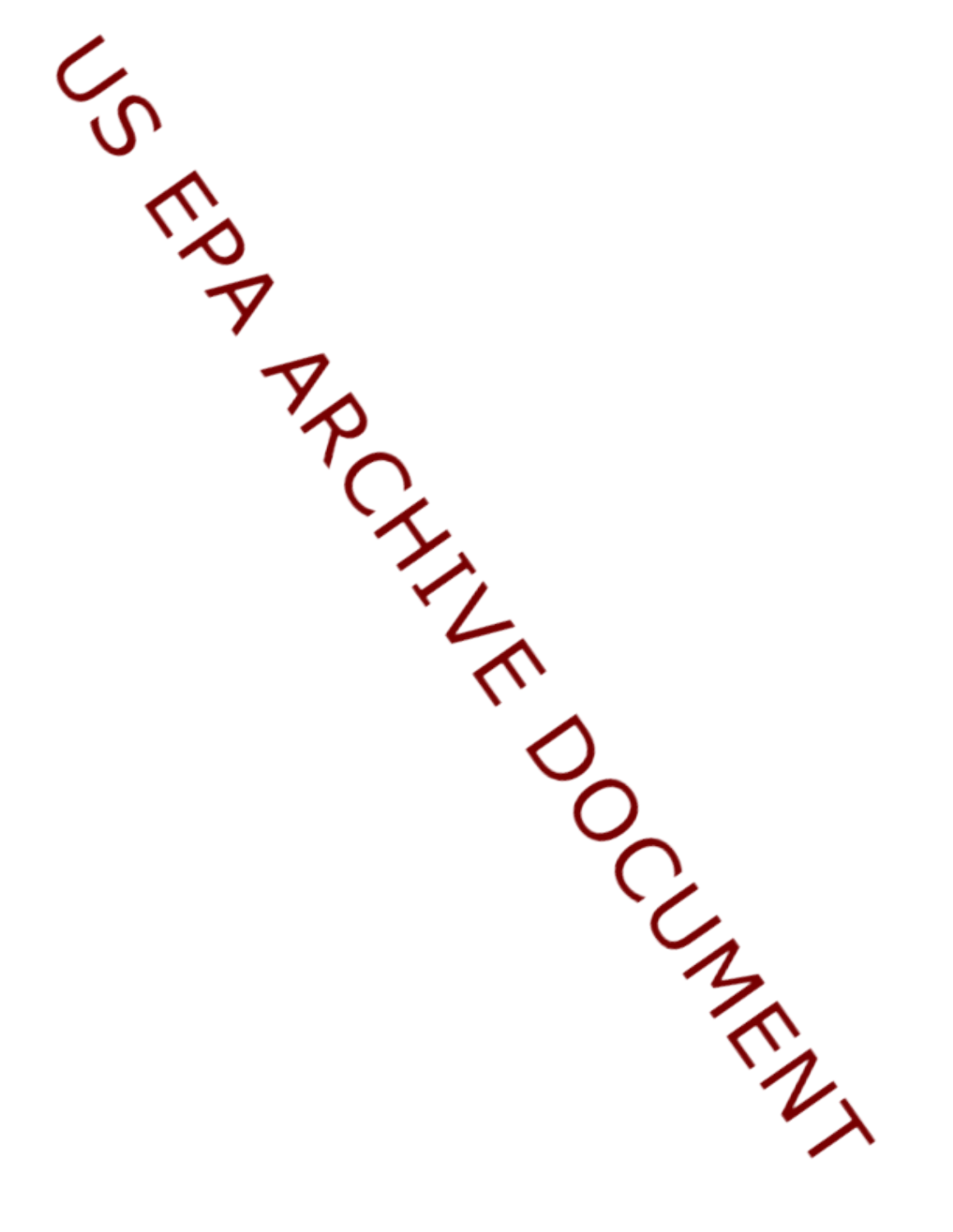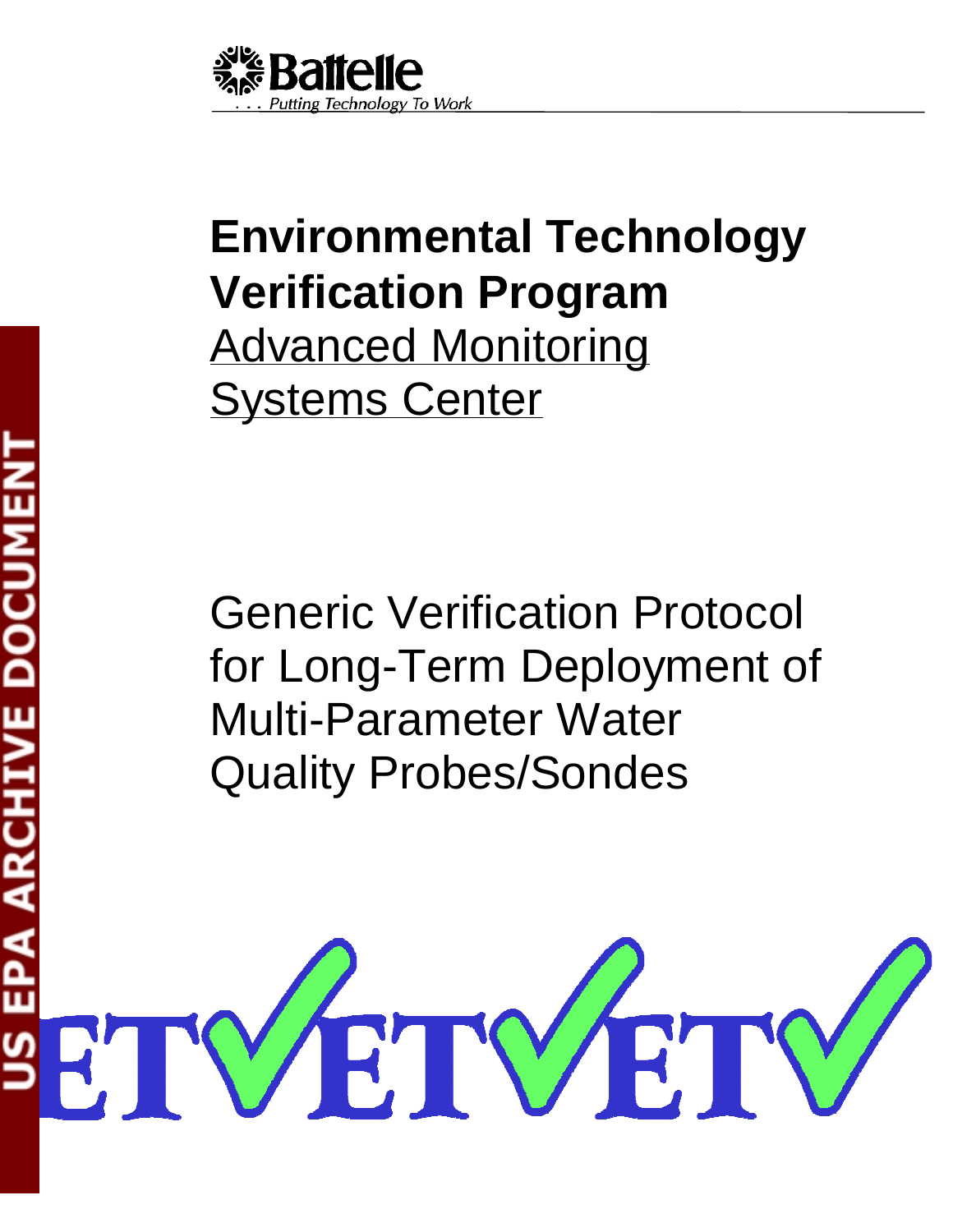

# **Environmental Technology Verification Program**  Advanced Monitoring Systems Center

Generic Verification Protocol for Long-Term Deployment of Multi-Parameter Water Quality Probes/Sondes

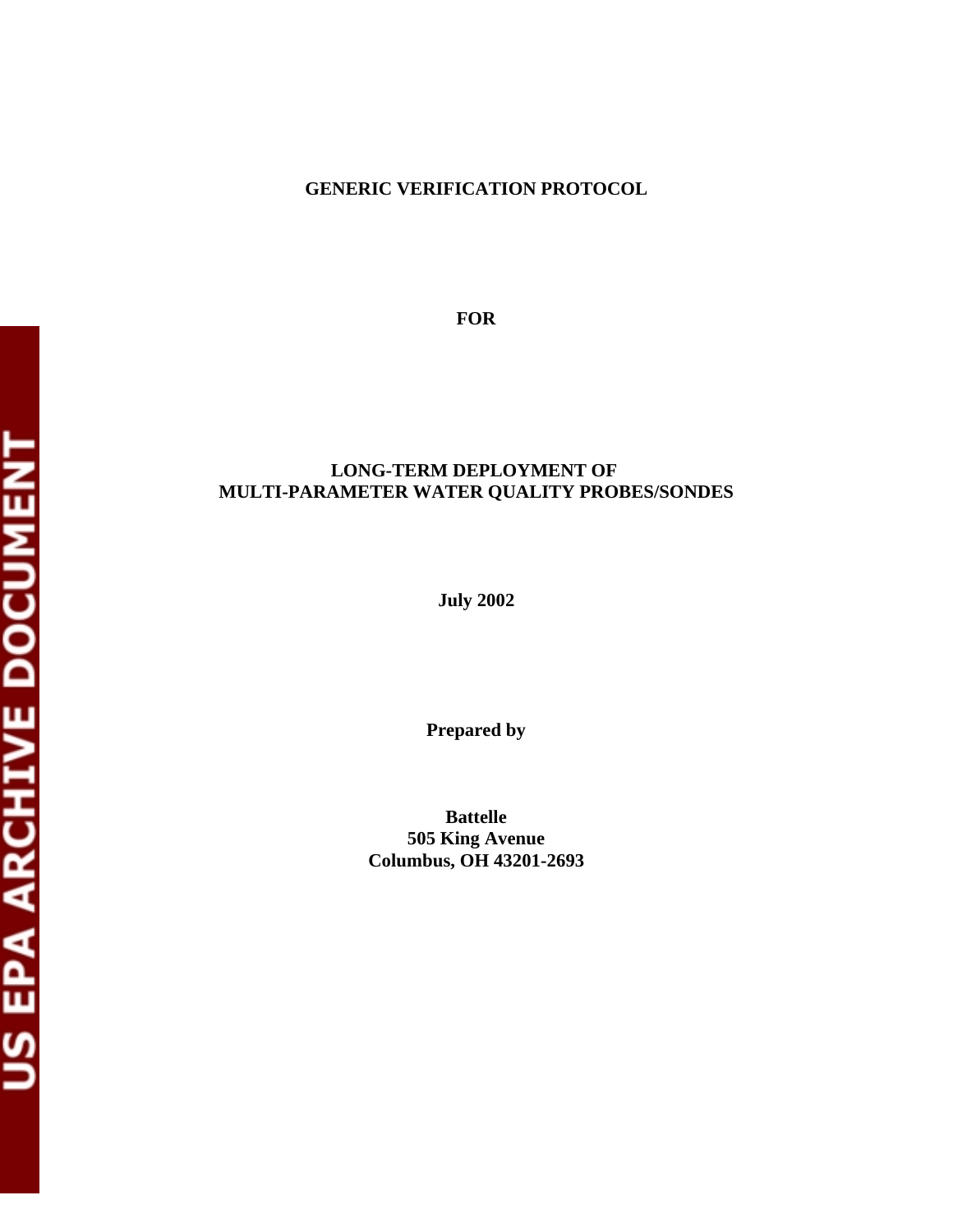#### **GENERIC VERIFICATION PROTOCOL**

**FOR** 

#### **LONG-TERM DEPLOYMENT OF MULTI-PARAMETER WATER QUALITY PROBES/SONDES**

**July 2002** 

**Prepared by** 

**Battelle 505 King Avenue Columbus, OH 43201-2693**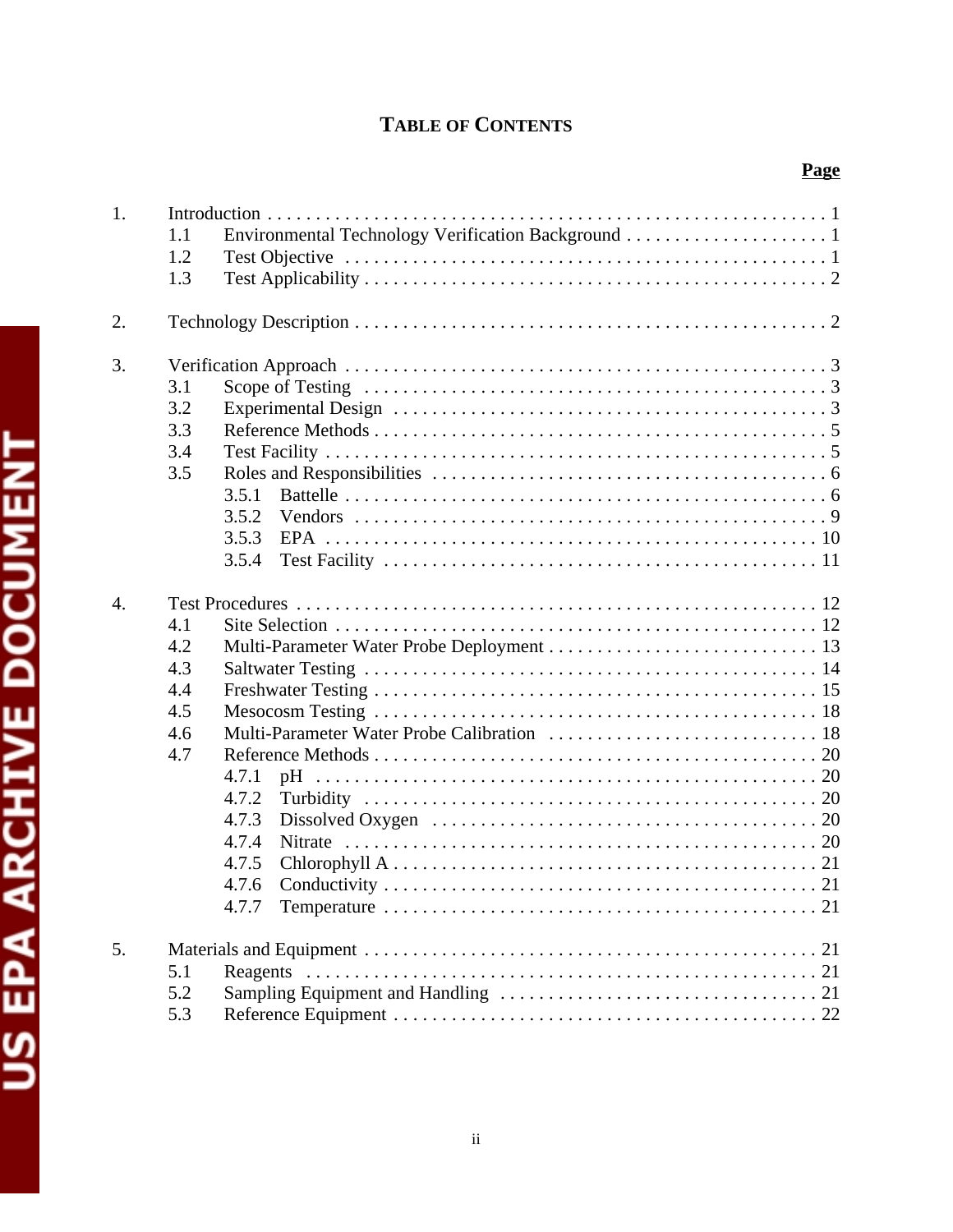# **TABLE OF CONTENTS**

| 1.  |       |  |
|-----|-------|--|
| 1.1 |       |  |
| 1.2 |       |  |
| 1.3 |       |  |
| 2.  |       |  |
|     |       |  |
| 3.  |       |  |
| 3.1 |       |  |
| 3.2 |       |  |
| 3.3 |       |  |
| 3.4 |       |  |
| 3.5 |       |  |
|     | 3.5.1 |  |
|     | 3.5.2 |  |
|     | 3.5.3 |  |
|     | 3.5.4 |  |
| 4.  |       |  |
| 4.1 |       |  |
| 4.2 |       |  |
| 4.3 |       |  |
| 4.4 |       |  |
| 4.5 |       |  |
| 4.6 |       |  |
| 4.7 |       |  |
|     | 4.7.1 |  |
|     | 4.7.2 |  |
|     | 4.7.3 |  |
|     | 4.7.4 |  |
|     | 4.7.5 |  |
|     | 4.7.6 |  |
|     | 4.7.7 |  |
|     |       |  |
| 5.  |       |  |
| 5.1 |       |  |
| 5.2 |       |  |
| 5.3 |       |  |
|     |       |  |
|     |       |  |
|     |       |  |
|     |       |  |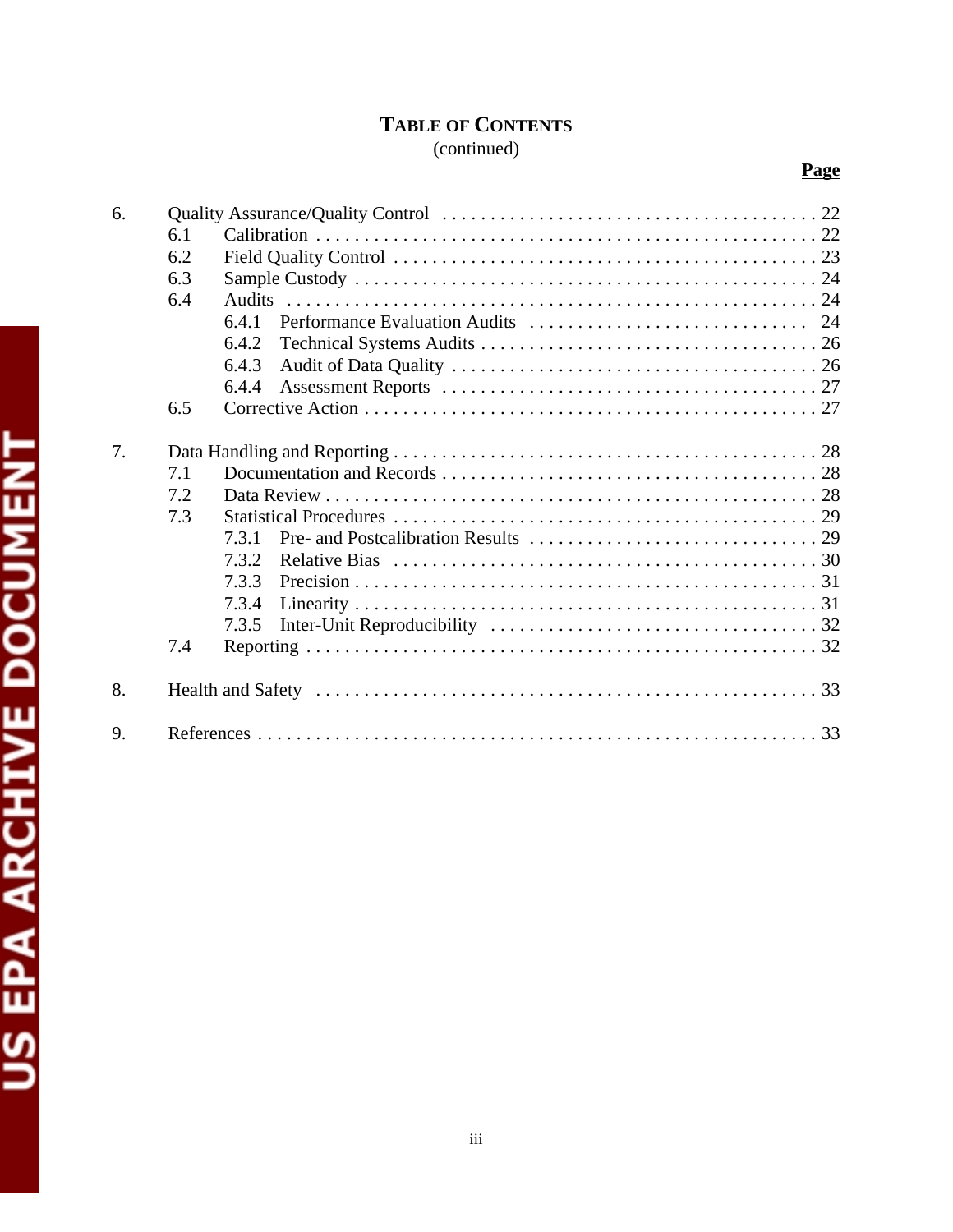# **TABLE OF CONTENTS**

# (continued)

**Page** 

| 6. |     |       |  |
|----|-----|-------|--|
|    | 6.1 |       |  |
|    | 6.2 |       |  |
|    | 6.3 |       |  |
|    | 6.4 |       |  |
|    |     | 6.4.1 |  |
|    |     | 6.4.2 |  |
|    |     | 6.4.3 |  |
|    |     | 6.4.4 |  |
|    | 6.5 |       |  |
|    |     |       |  |
| 7. |     |       |  |
|    | 7.1 |       |  |
|    | 7.2 |       |  |
|    | 7.3 |       |  |
|    |     | 731   |  |
|    |     | 7.3.2 |  |
|    |     | 733   |  |
|    |     | 7.3.4 |  |
|    |     | 7.3.5 |  |
|    | 7.4 |       |  |
| 8. |     |       |  |
| 9. |     |       |  |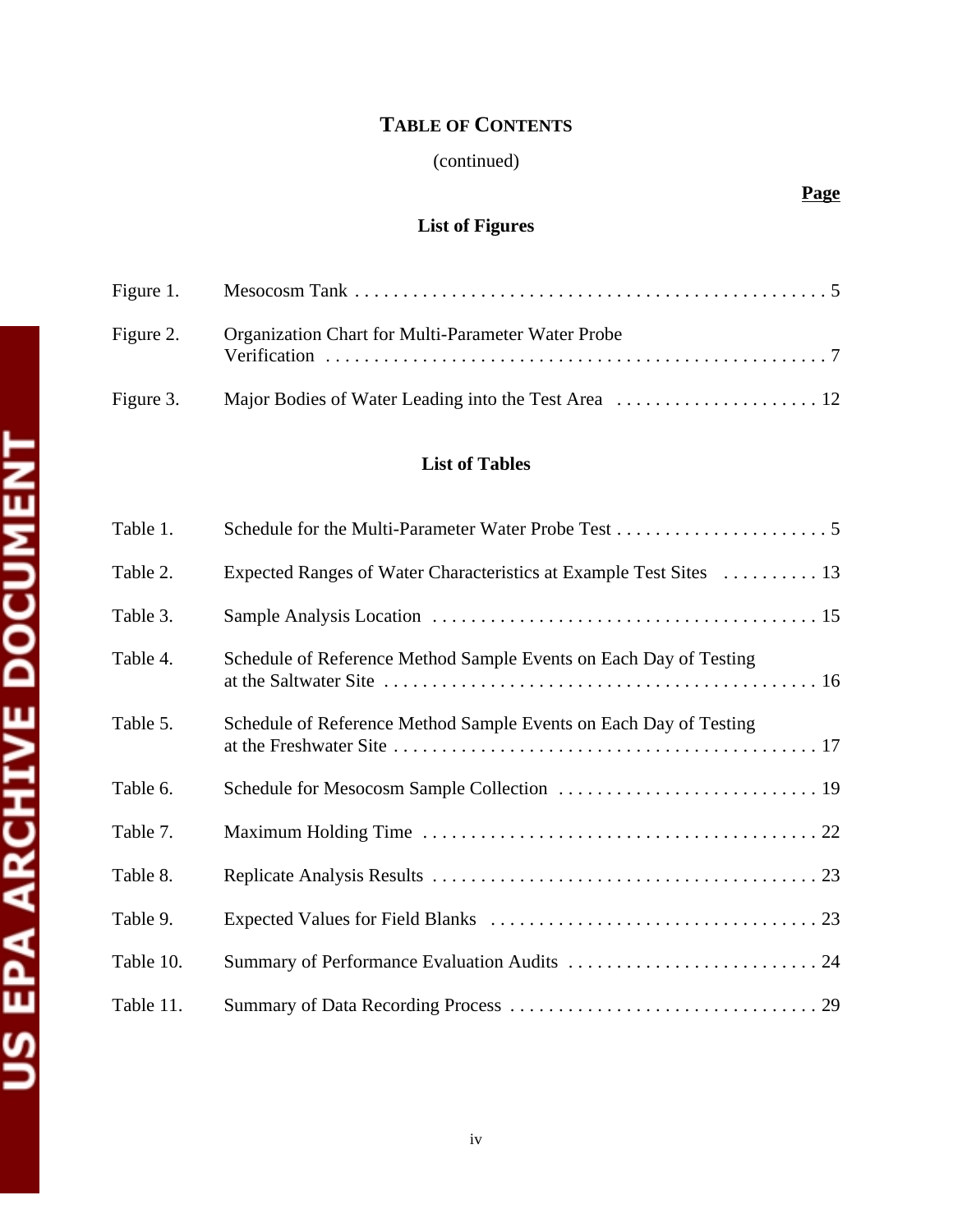# **TABLE OF CONTENTS**

# (continued)

# **Page**

# **List of Figures**

| Figure 2. Organization Chart for Multi-Parameter Water Probe |
|--------------------------------------------------------------|
|                                                              |

# **List of Tables**

| Table 1.  |                                                                    |
|-----------|--------------------------------------------------------------------|
| Table 2.  | Expected Ranges of Water Characteristics at Example Test Sites  13 |
| Table 3.  |                                                                    |
| Table 4.  | Schedule of Reference Method Sample Events on Each Day of Testing  |
| Table 5.  | Schedule of Reference Method Sample Events on Each Day of Testing  |
| Table 6.  |                                                                    |
| Table 7.  |                                                                    |
| Table 8.  |                                                                    |
| Table 9.  |                                                                    |
| Table 10. |                                                                    |
| Table 11. |                                                                    |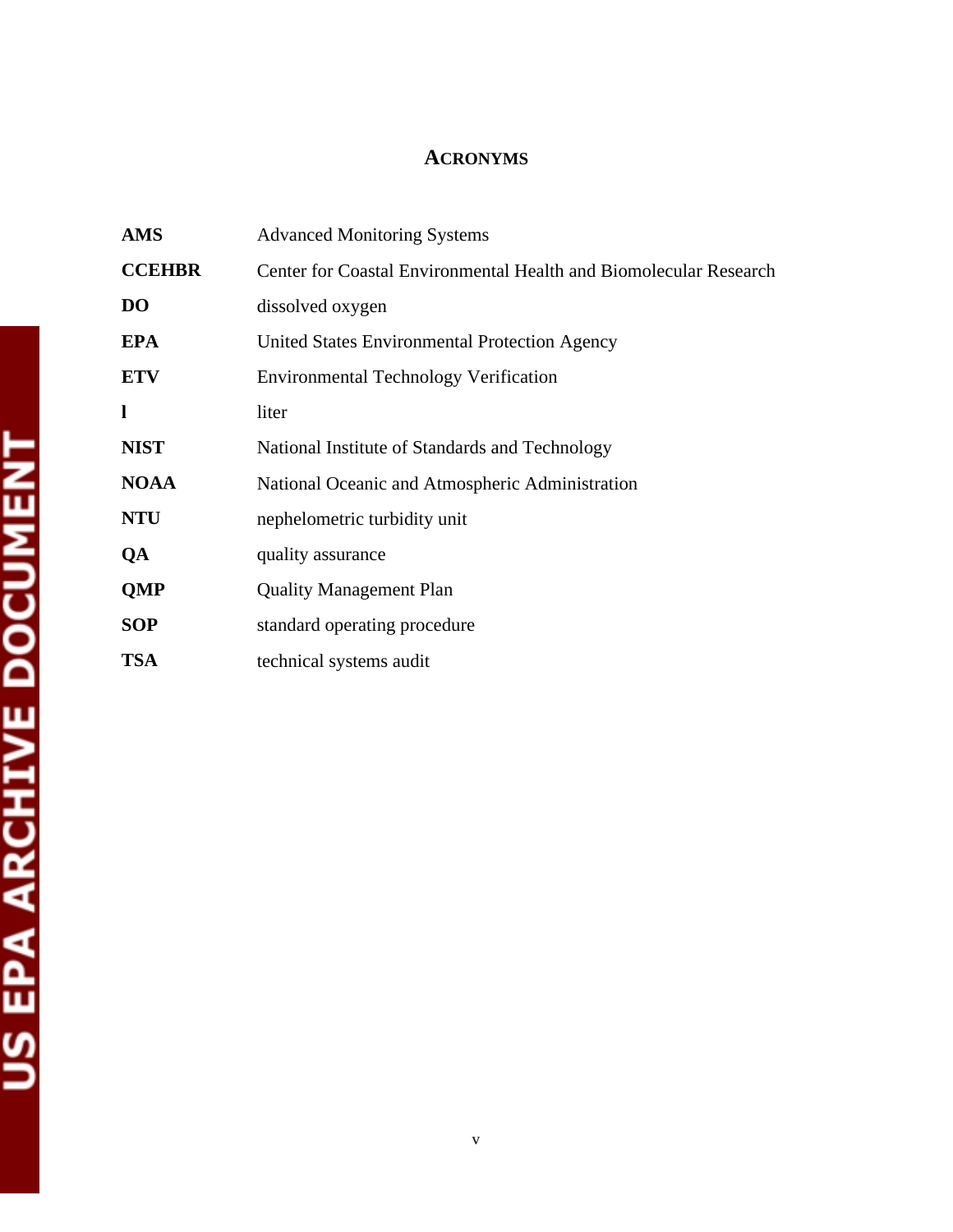# **ACRONYMS**

| <b>AMS</b>    | <b>Advanced Monitoring Systems</b>                                |
|---------------|-------------------------------------------------------------------|
| <b>CCEHBR</b> | Center for Coastal Environmental Health and Biomolecular Research |
| <b>DO</b>     | dissolved oxygen                                                  |
| <b>EPA</b>    | United States Environmental Protection Agency                     |
| <b>ETV</b>    | <b>Environmental Technology Verification</b>                      |
| ı             | liter                                                             |
| <b>NIST</b>   | National Institute of Standards and Technology                    |
| <b>NOAA</b>   | National Oceanic and Atmospheric Administration                   |
| <b>NTU</b>    | nephelometric turbidity unit                                      |
| QA            | quality assurance                                                 |
| <b>QMP</b>    | <b>Quality Management Plan</b>                                    |
| <b>SOP</b>    | standard operating procedure                                      |
| <b>TSA</b>    | technical systems audit                                           |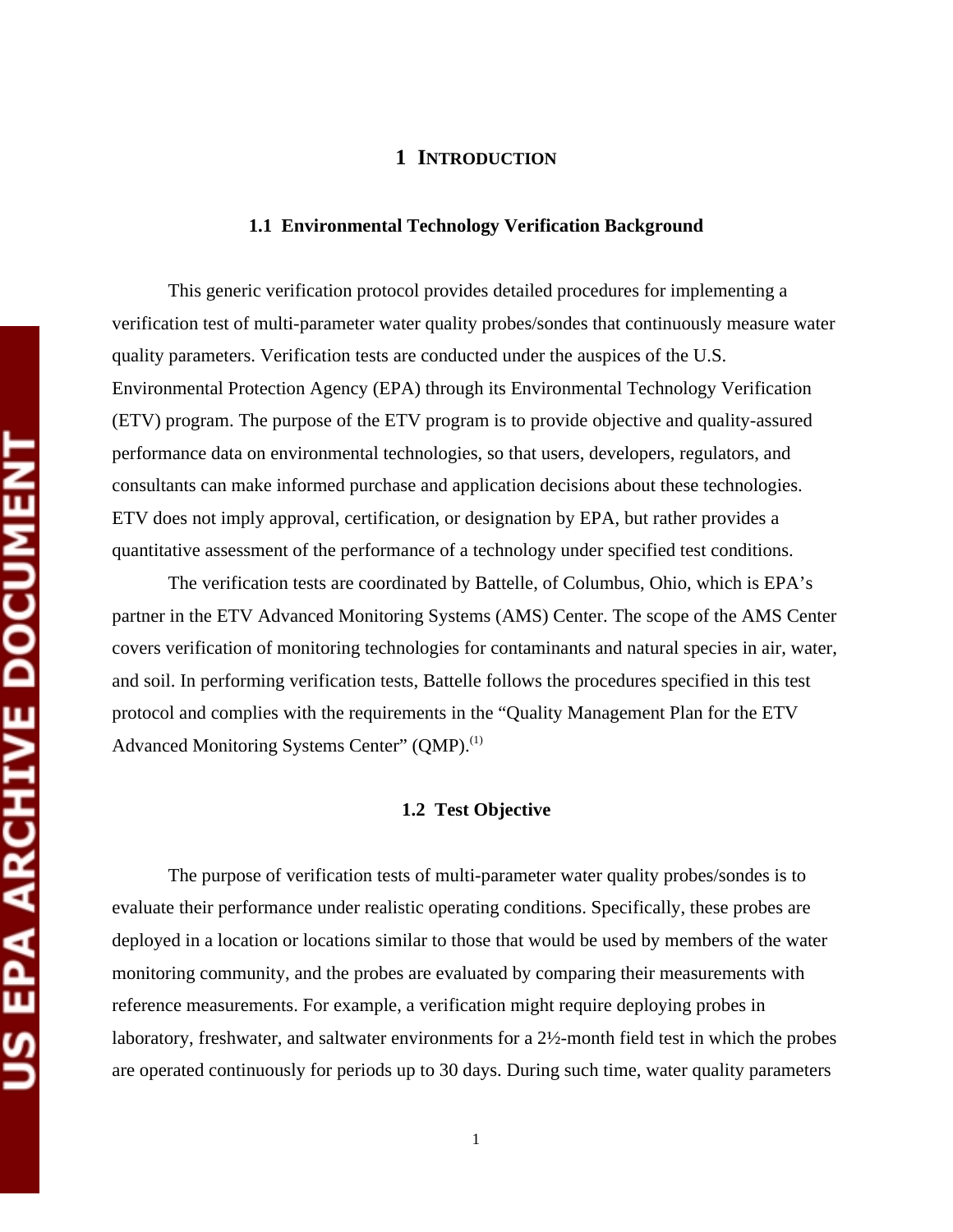#### **1 INTRODUCTION**

#### **1.1 Environmental Technology Verification Background**

This generic verification protocol provides detailed procedures for implementing a verification test of multi-parameter water quality probes/sondes that continuously measure water quality parameters. Verification tests are conducted under the auspices of the U.S. Environmental Protection Agency (EPA) through its Environmental Technology Verification (ETV) program. The purpose of the ETV program is to provide objective and quality-assured performance data on environmental technologies, so that users, developers, regulators, and consultants can make informed purchase and application decisions about these technologies. ETV does not imply approval, certification, or designation by EPA, but rather provides a quantitative assessment of the performance of a technology under specified test conditions.

The verification tests are coordinated by Battelle, of Columbus, Ohio, which is EPA's partner in the ETV Advanced Monitoring Systems (AMS) Center. The scope of the AMS Center covers verification of monitoring technologies for contaminants and natural species in air, water, and soil. In performing verification tests, Battelle follows the procedures specified in this test protocol and complies with the requirements in the "Quality Management Plan for the ETV Advanced Monitoring Systems Center" (QMP).<sup>(1)</sup>

#### **1.2 Test Objective**

The purpose of verification tests of multi-parameter water quality probes/sondes is to evaluate their performance under realistic operating conditions. Specifically, these probes are deployed in a location or locations similar to those that would be used by members of the water monitoring community, and the probes are evaluated by comparing their measurements with reference measurements. For example, a verification might require deploying probes in laboratory, freshwater, and saltwater environments for a 2½-month field test in which the probes are operated continuously for periods up to 30 days. During such time, water quality parameters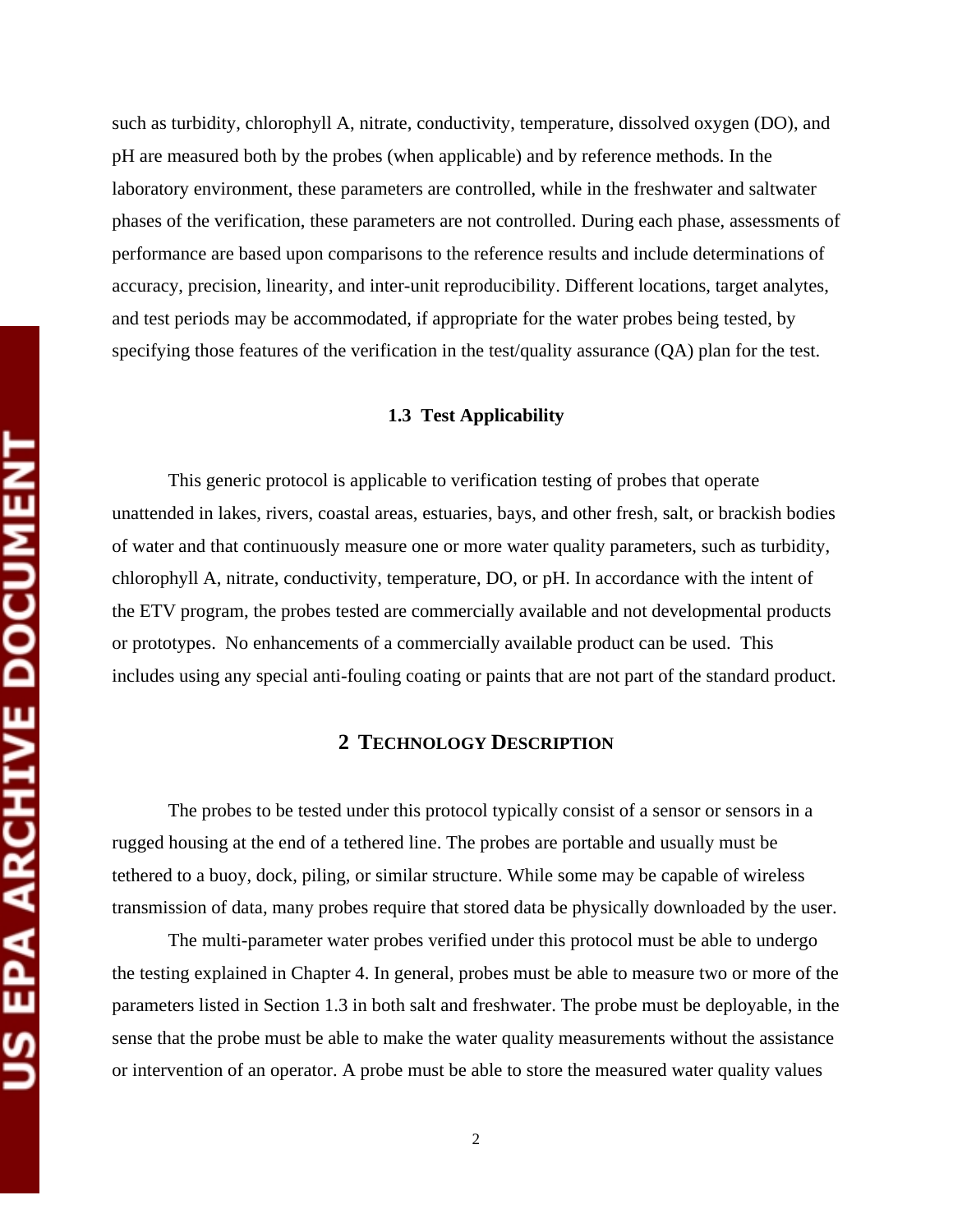such as turbidity, chlorophyll A, nitrate, conductivity, temperature, dissolved oxygen (DO), and pH are measured both by the probes (when applicable) and by reference methods. In the laboratory environment, these parameters are controlled, while in the freshwater and saltwater phases of the verification, these parameters are not controlled. During each phase, assessments of performance are based upon comparisons to the reference results and include determinations of accuracy, precision, linearity, and inter-unit reproducibility. Different locations, target analytes, and test periods may be accommodated, if appropriate for the water probes being tested, by specifying those features of the verification in the test/quality assurance (QA) plan for the test.

#### **1.3 Test Applicability**

This generic protocol is applicable to verification testing of probes that operate unattended in lakes, rivers, coastal areas, estuaries, bays, and other fresh, salt, or brackish bodies of water and that continuously measure one or more water quality parameters, such as turbidity, chlorophyll A, nitrate, conductivity, temperature, DO, or pH. In accordance with the intent of the ETV program, the probes tested are commercially available and not developmental products or prototypes. No enhancements of a commercially available product can be used. This includes using any special anti-fouling coating or paints that are not part of the standard product.

#### **2 TECHNOLOGY DESCRIPTION**

The probes to be tested under this protocol typically consist of a sensor or sensors in a rugged housing at the end of a tethered line. The probes are portable and usually must be tethered to a buoy, dock, piling, or similar structure. While some may be capable of wireless transmission of data, many probes require that stored data be physically downloaded by the user.

The multi-parameter water probes verified under this protocol must be able to undergo the testing explained in Chapter 4. In general, probes must be able to measure two or more of the parameters listed in Section 1.3 in both salt and freshwater. The probe must be deployable, in the sense that the probe must be able to make the water quality measurements without the assistance or intervention of an operator. A probe must be able to store the measured water quality values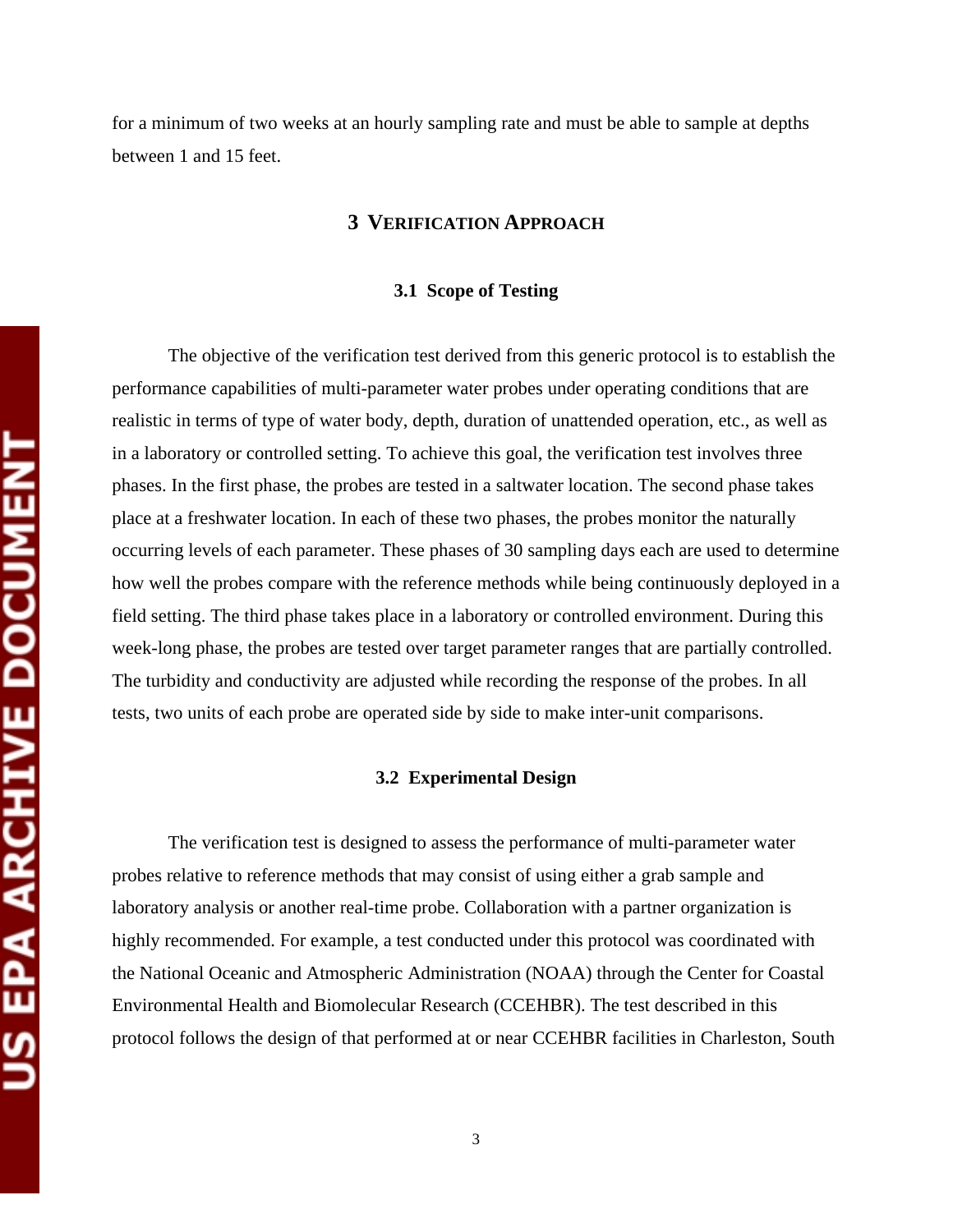for a minimum of two weeks at an hourly sampling rate and must be able to sample at depths between 1 and 15 feet.

#### **3 VERIFICATION APPROACH**

#### **3.1 Scope of Testing**

The objective of the verification test derived from this generic protocol is to establish the performance capabilities of multi-parameter water probes under operating conditions that are realistic in terms of type of water body, depth, duration of unattended operation, etc., as well as in a laboratory or controlled setting. To achieve this goal, the verification test involves three phases. In the first phase, the probes are tested in a saltwater location. The second phase takes place at a freshwater location. In each of these two phases, the probes monitor the naturally occurring levels of each parameter. These phases of 30 sampling days each are used to determine how well the probes compare with the reference methods while being continuously deployed in a field setting. The third phase takes place in a laboratory or controlled environment. During this week-long phase, the probes are tested over target parameter ranges that are partially controlled. The turbidity and conductivity are adjusted while recording the response of the probes. In all tests, two units of each probe are operated side by side to make inter-unit comparisons.

#### **3.2 Experimental Design**

The verification test is designed to assess the performance of multi-parameter water probes relative to reference methods that may consist of using either a grab sample and laboratory analysis or another real-time probe. Collaboration with a partner organization is highly recommended. For example, a test conducted under this protocol was coordinated with the National Oceanic and Atmospheric Administration (NOAA) through the Center for Coastal Environmental Health and Biomolecular Research (CCEHBR). The test described in this protocol follows the design of that performed at or near CCEHBR facilities in Charleston, South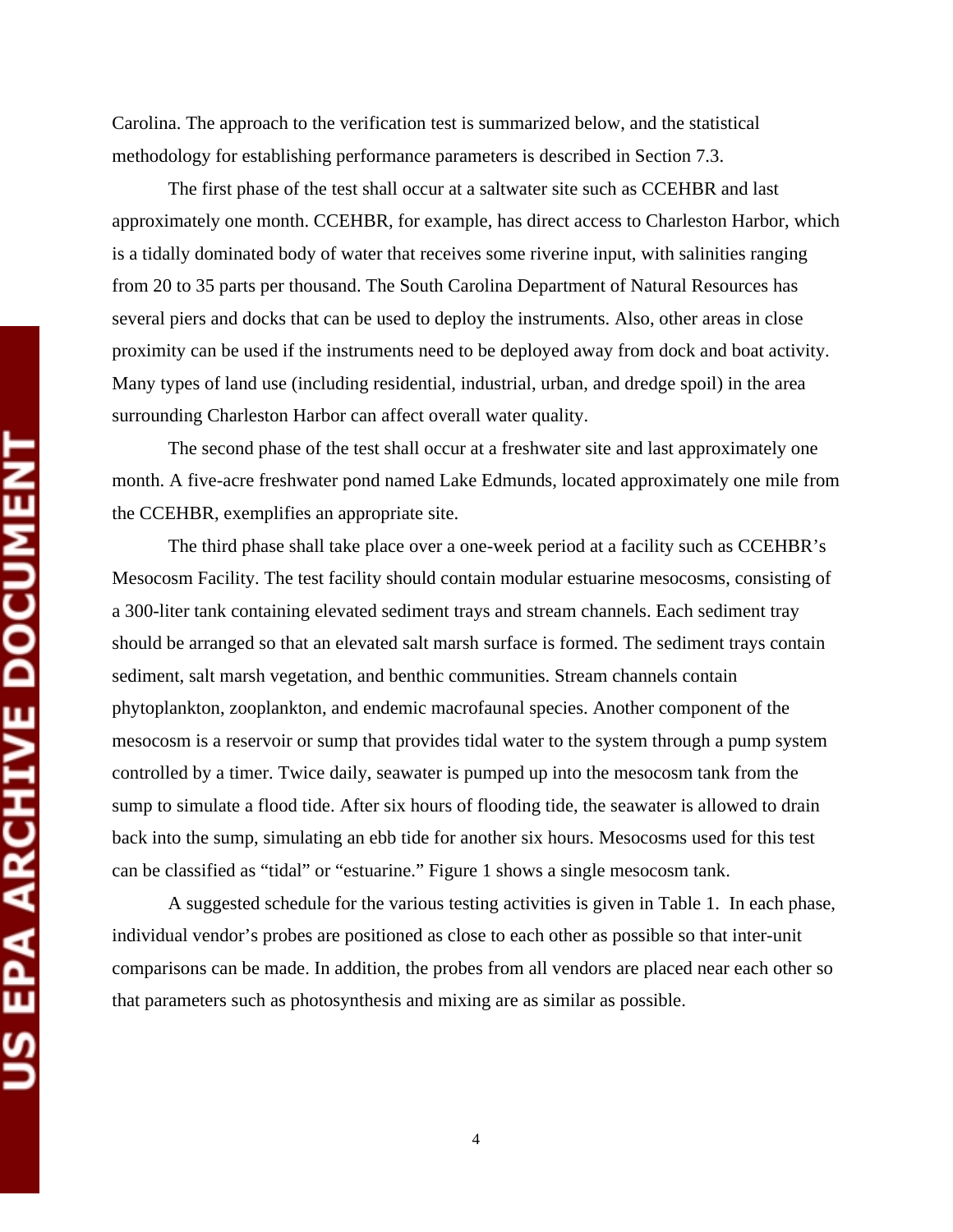Carolina. The approach to the verification test is summarized below, and the statistical methodology for establishing performance parameters is described in Section 7.3.

The first phase of the test shall occur at a saltwater site such as CCEHBR and last approximately one month. CCEHBR, for example, has direct access to Charleston Harbor, which is a tidally dominated body of water that receives some riverine input, with salinities ranging from 20 to 35 parts per thousand. The South Carolina Department of Natural Resources has several piers and docks that can be used to deploy the instruments. Also, other areas in close proximity can be used if the instruments need to be deployed away from dock and boat activity. Many types of land use (including residential, industrial, urban, and dredge spoil) in the area surrounding Charleston Harbor can affect overall water quality.

The second phase of the test shall occur at a freshwater site and last approximately one month. A five-acre freshwater pond named Lake Edmunds, located approximately one mile from the CCEHBR, exemplifies an appropriate site.

The third phase shall take place over a one-week period at a facility such as CCEHBR's Mesocosm Facility. The test facility should contain modular estuarine mesocosms, consisting of a 300-liter tank containing elevated sediment trays and stream channels. Each sediment tray should be arranged so that an elevated salt marsh surface is formed. The sediment trays contain sediment, salt marsh vegetation, and benthic communities. Stream channels contain phytoplankton, zooplankton, and endemic macrofaunal species. Another component of the mesocosm is a reservoir or sump that provides tidal water to the system through a pump system controlled by a timer. Twice daily, seawater is pumped up into the mesocosm tank from the sump to simulate a flood tide. After six hours of flooding tide, the seawater is allowed to drain back into the sump, simulating an ebb tide for another six hours. Mesocosms used for this test can be classified as "tidal" or "estuarine." Figure 1 shows a single mesocosm tank.

A suggested schedule for the various testing activities is given in Table 1. In each phase, individual vendor's probes are positioned as close to each other as possible so that inter-unit comparisons can be made. In addition, the probes from all vendors are placed near each other so that parameters such as photosynthesis and mixing are as similar as possible.

4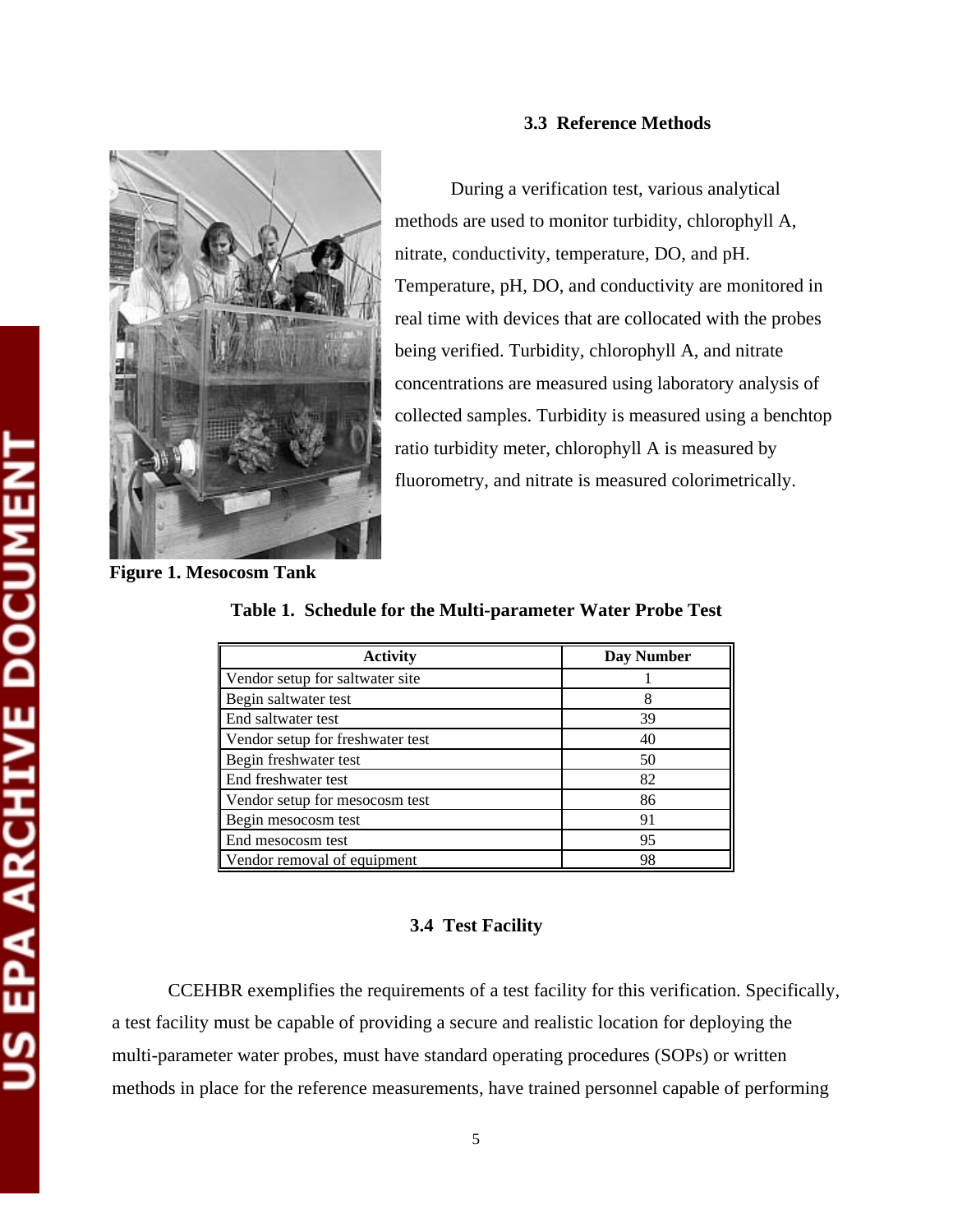

#### **3.3 Reference Methods**

During a verification test, various analytical methods are used to monitor turbidity, chlorophyll A, nitrate, conductivity, temperature, DO, and pH. Temperature, pH, DO, and conductivity are monitored in real time with devices that are collocated with the probes being verified. Turbidity, chlorophyll A, and nitrate concentrations are measured using laboratory analysis of collected samples. Turbidity is measured using a benchtop ratio turbidity meter, chlorophyll A is measured by fluorometry, and nitrate is measured colorimetrically.

**Figure 1. Mesocosm Tank** 

**Table 1. Schedule for the Multi-parameter Water Probe Test** 

| <b>Activity</b>                  | <b>Day Number</b> |
|----------------------------------|-------------------|
|                                  |                   |
| Vendor setup for saltwater site  |                   |
| Begin saltwater test             | 8                 |
| End saltwater test               | 39                |
| Vendor setup for freshwater test | 40                |
| Begin freshwater test            | 50                |
| End freshwater test              | 82                |
| Vendor setup for mesocosm test   | 86                |
| Begin mesocosm test              | 91                |
| End mesocosm test                | 95                |
| Vendor removal of equipment      | 98                |

#### **3.4 Test Facility**

CCEHBR exemplifies the requirements of a test facility for this verification. Specifically, a test facility must be capable of providing a secure and realistic location for deploying the multi-parameter water probes, must have standard operating procedures (SOPs) or written methods in place for the reference measurements, have trained personnel capable of performing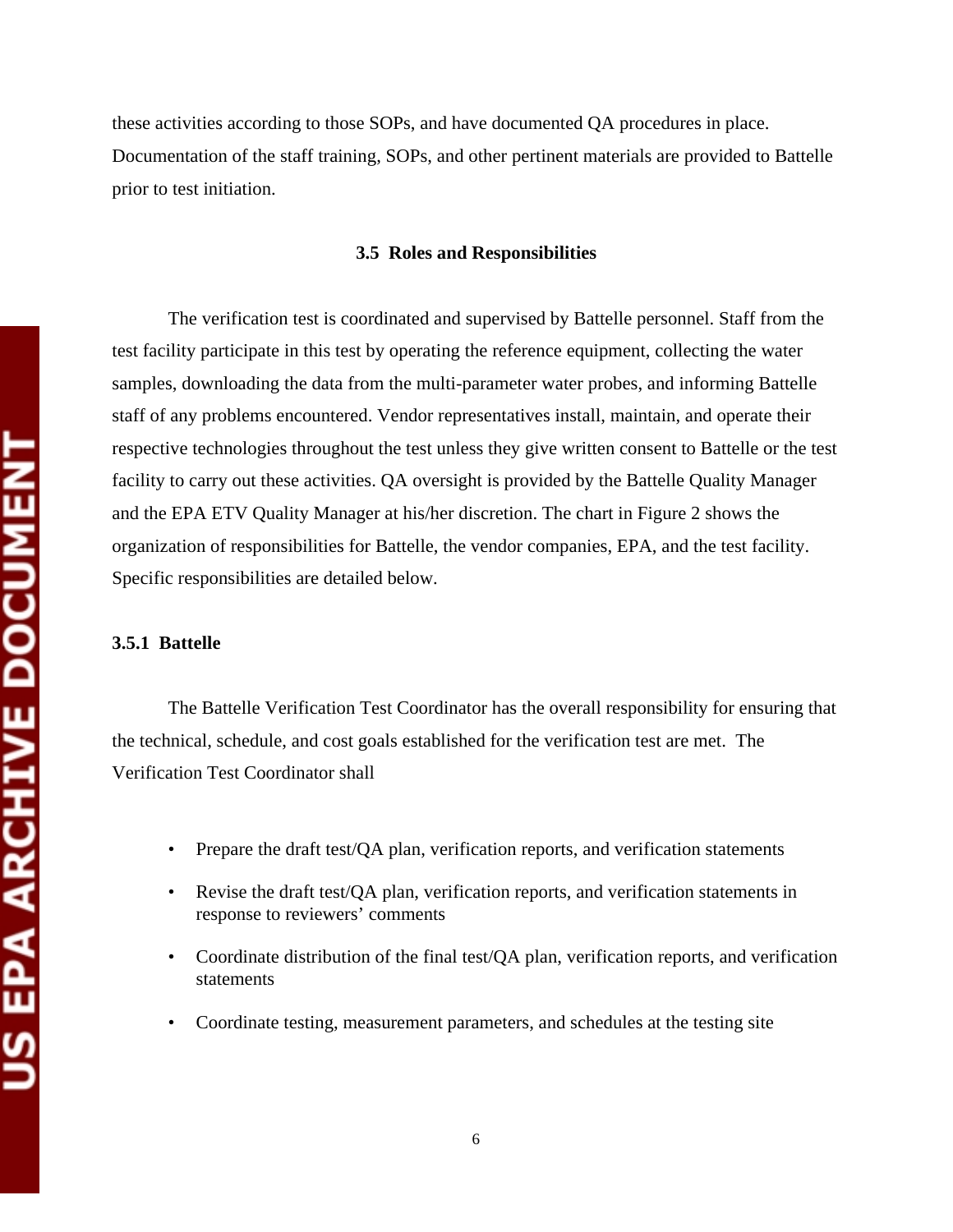these activities according to those SOPs, and have documented QA procedures in place. Documentation of the staff training, SOPs, and other pertinent materials are provided to Battelle prior to test initiation.

#### **3.5 Roles and Responsibilities**

The verification test is coordinated and supervised by Battelle personnel. Staff from the test facility participate in this test by operating the reference equipment, collecting the water samples, downloading the data from the multi-parameter water probes, and informing Battelle staff of any problems encountered. Vendor representatives install, maintain, and operate their respective technologies throughout the test unless they give written consent to Battelle or the test facility to carry out these activities. QA oversight is provided by the Battelle Quality Manager and the EPA ETV Quality Manager at his/her discretion. The chart in Figure 2 shows the organization of responsibilities for Battelle, the vendor companies, EPA, and the test facility. Specific responsibilities are detailed below.

#### **3.5.1 Battelle**

The Battelle Verification Test Coordinator has the overall responsibility for ensuring that the technical, schedule, and cost goals established for the verification test are met. The Verification Test Coordinator shall

- Prepare the draft test/ $\overline{OA}$  plan, verification reports, and verification statements
- Revise the draft test/QA plan, verification reports, and verification statements in response to reviewers' comments
- Coordinate distribution of the final test/QA plan, verification reports, and verification statements
- Coordinate testing, measurement parameters, and schedules at the testing site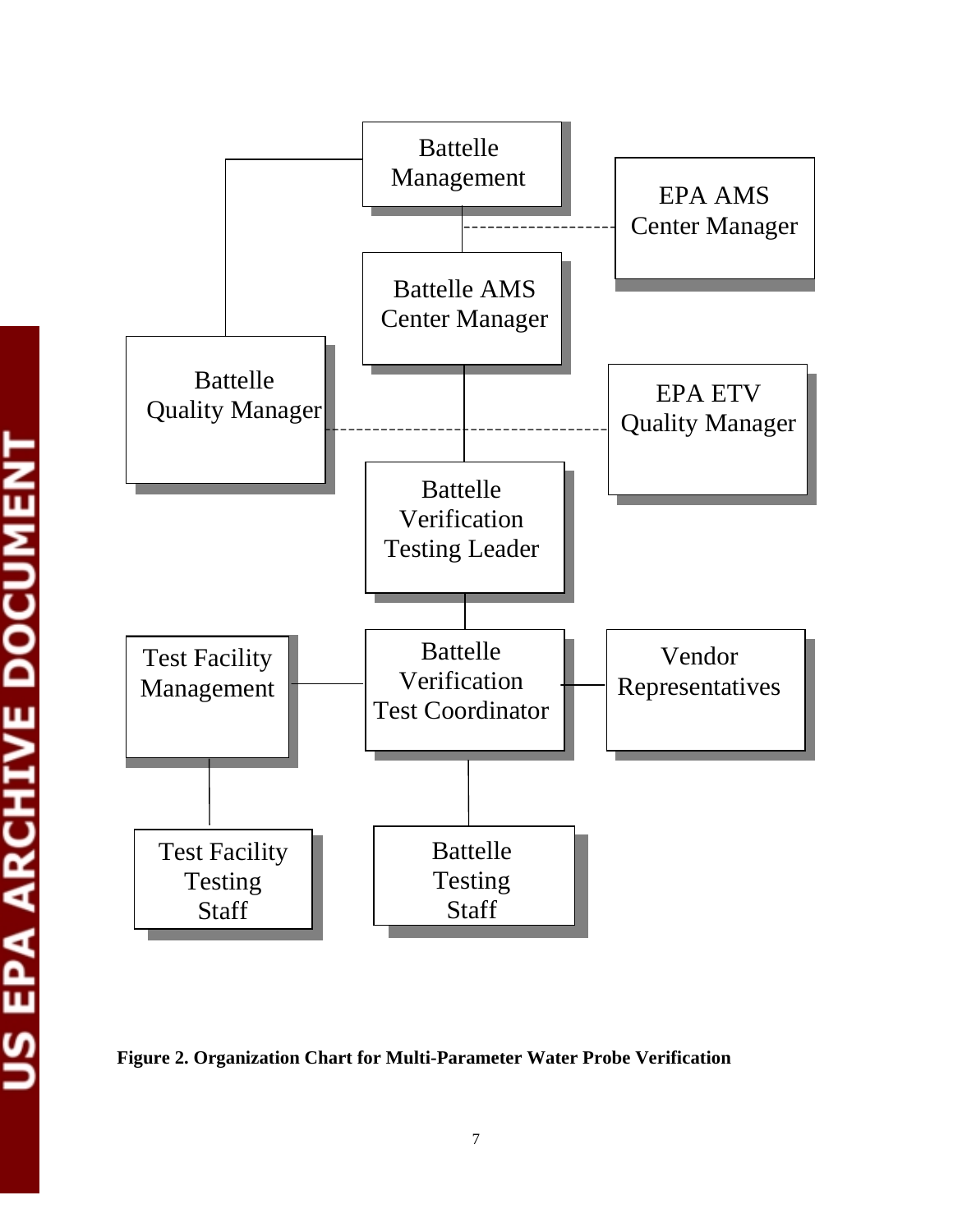

**Figure 2. Organization Chart for Multi-Parameter Water Probe Verification**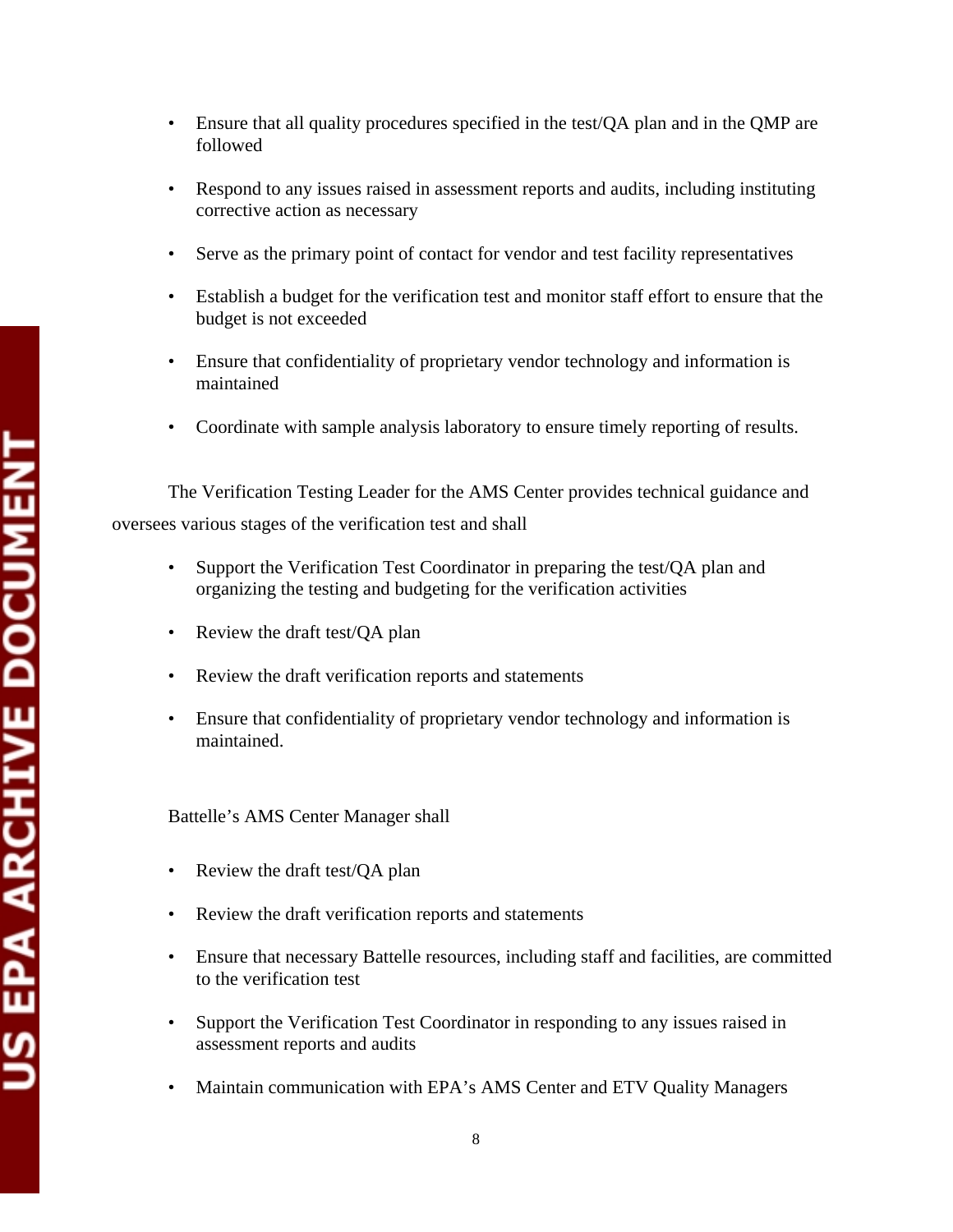- Ensure that all quality procedures specified in the test/QA plan and in the QMP are followed
- Respond to any issues raised in assessment reports and audits, including instituting corrective action as necessary
- Serve as the primary point of contact for vendor and test facility representatives
- • Establish a budget for the verification test and monitor staff effort to ensure that the budget is not exceeded
- Ensure that confidentiality of proprietary vendor technology and information is maintained
- Coordinate with sample analysis laboratory to ensure timely reporting of results.

The Verification Testing Leader for the AMS Center provides technical guidance and oversees various stages of the verification test and shall

- Support the Verification Test Coordinator in preparing the test/QA plan and organizing the testing and budgeting for the verification activities
- Review the draft test/OA plan
- Review the draft verification reports and statements
- Ensure that confidentiality of proprietary vendor technology and information is maintained.

Battelle's AMS Center Manager shall

- Review the draft test/QA plan
- Review the draft verification reports and statements
- Ensure that necessary Battelle resources, including staff and facilities, are committed to the verification test
- Support the Verification Test Coordinator in responding to any issues raised in assessment reports and audits
- Maintain communication with EPA's AMS Center and ETV Quality Managers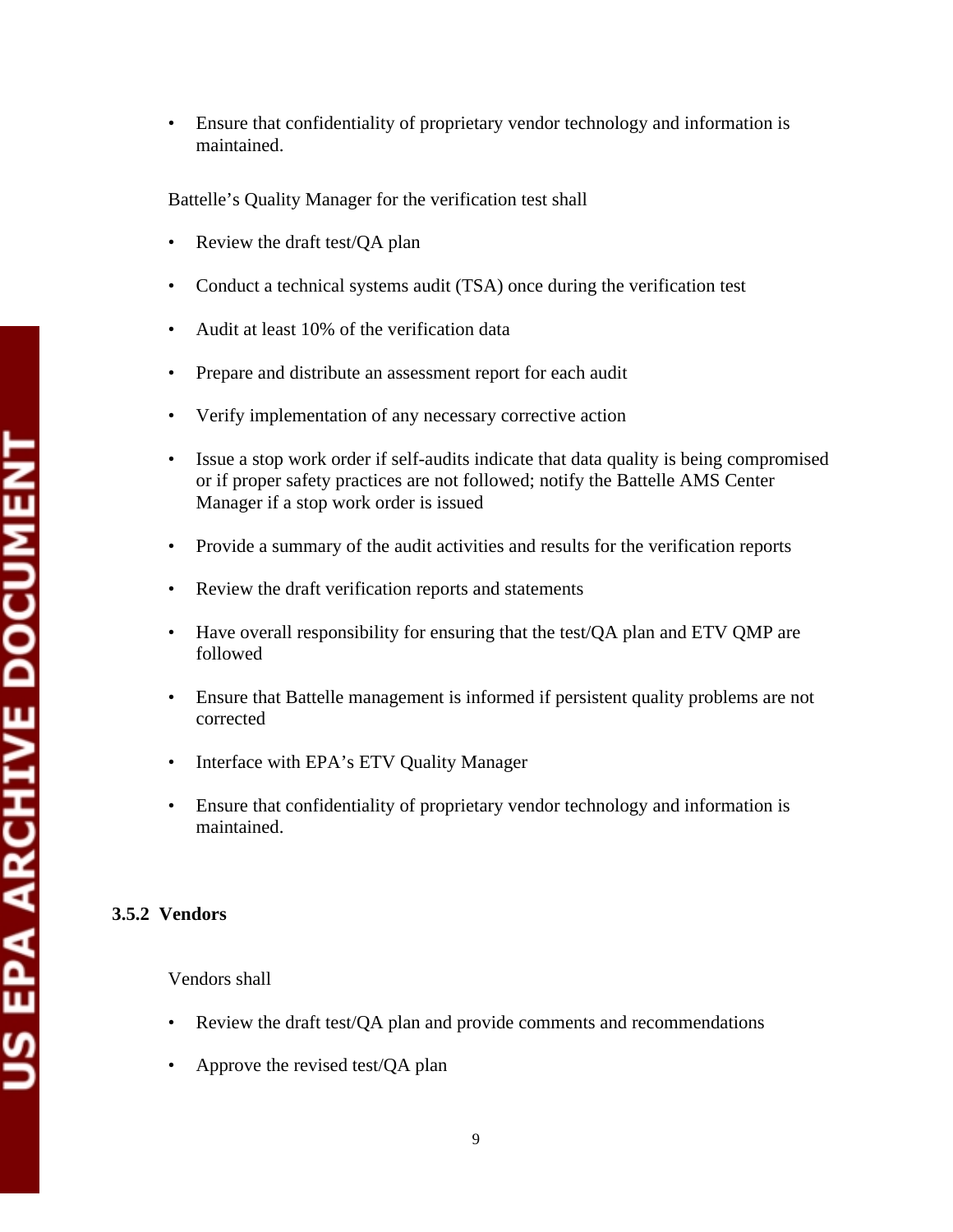• Ensure that confidentiality of proprietary vendor technology and information is maintained.

Battelle's Quality Manager for the verification test shall

- Review the draft test/OA plan
- Conduct a technical systems audit (TSA) once during the verification test
- Audit at least 10% of the verification data
- Prepare and distribute an assessment report for each audit
- Verify implementation of any necessary corrective action
- Issue a stop work order if self-audits indicate that data quality is being compromised or if proper safety practices are not followed; notify the Battelle AMS Center Manager if a stop work order is issued
- Provide a summary of the audit activities and results for the verification reports
- Review the draft verification reports and statements
- Have overall responsibility for ensuring that the test/QA plan and ETV QMP are followed
- Ensure that Battelle management is informed if persistent quality problems are not corrected
- Interface with EPA's ETV Quality Manager
- Ensure that confidentiality of proprietary vendor technology and information is maintained.

### **3.5.2 Vendors**

Vendors shall

- Review the draft test/OA plan and provide comments and recommendations
- Approve the revised test/ $QA$  plan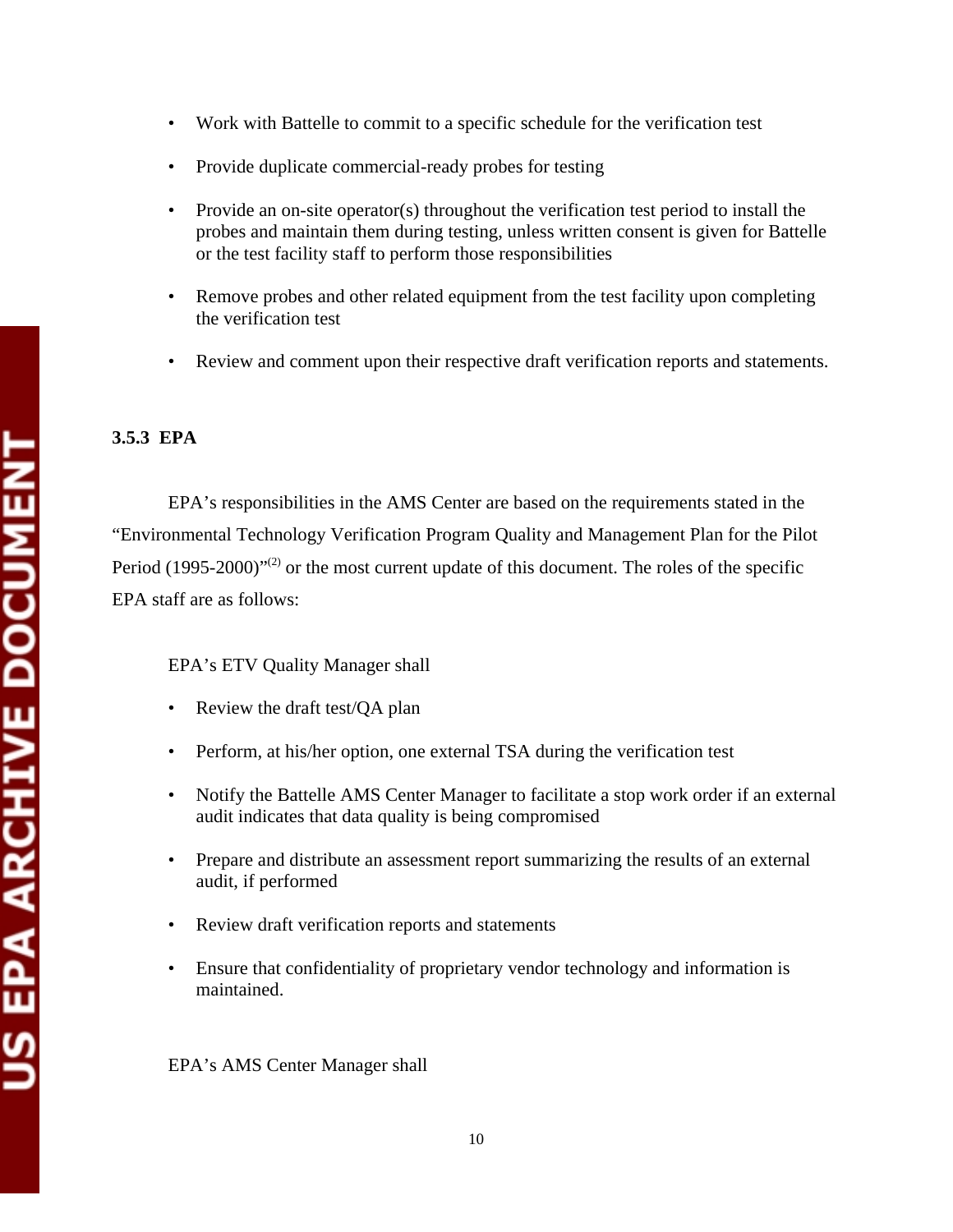- • Work with Battelle to commit to a specific schedule for the verification test
- Provide duplicate commercial-ready probes for testing
- Provide an on-site operator(s) throughout the verification test period to install the probes and maintain them during testing, unless written consent is given for Battelle or the test facility staff to perform those responsibilities
- Remove probes and other related equipment from the test facility upon completing the verification test
- Review and comment upon their respective draft verification reports and statements.

#### **3.5.3 EPA**

EPA's responsibilities in the AMS Center are based on the requirements stated in the "Environmental Technology Verification Program Quality and Management Plan for the Pilot Period  $(1995-2000)^{1/2}$  or the most current update of this document. The roles of the specific EPA staff are as follows:

#### EPA's ETV Quality Manager shall

- Review the draft test/QA plan
- Perform, at his/her option, one external TSA during the verification test
- Notify the Battelle AMS Center Manager to facilitate a stop work order if an external audit indicates that data quality is being compromised
- Prepare and distribute an assessment report summarizing the results of an external audit, if performed
- Review draft verification reports and statements
- Ensure that confidentiality of proprietary vendor technology and information is maintained.

EPA's AMS Center Manager shall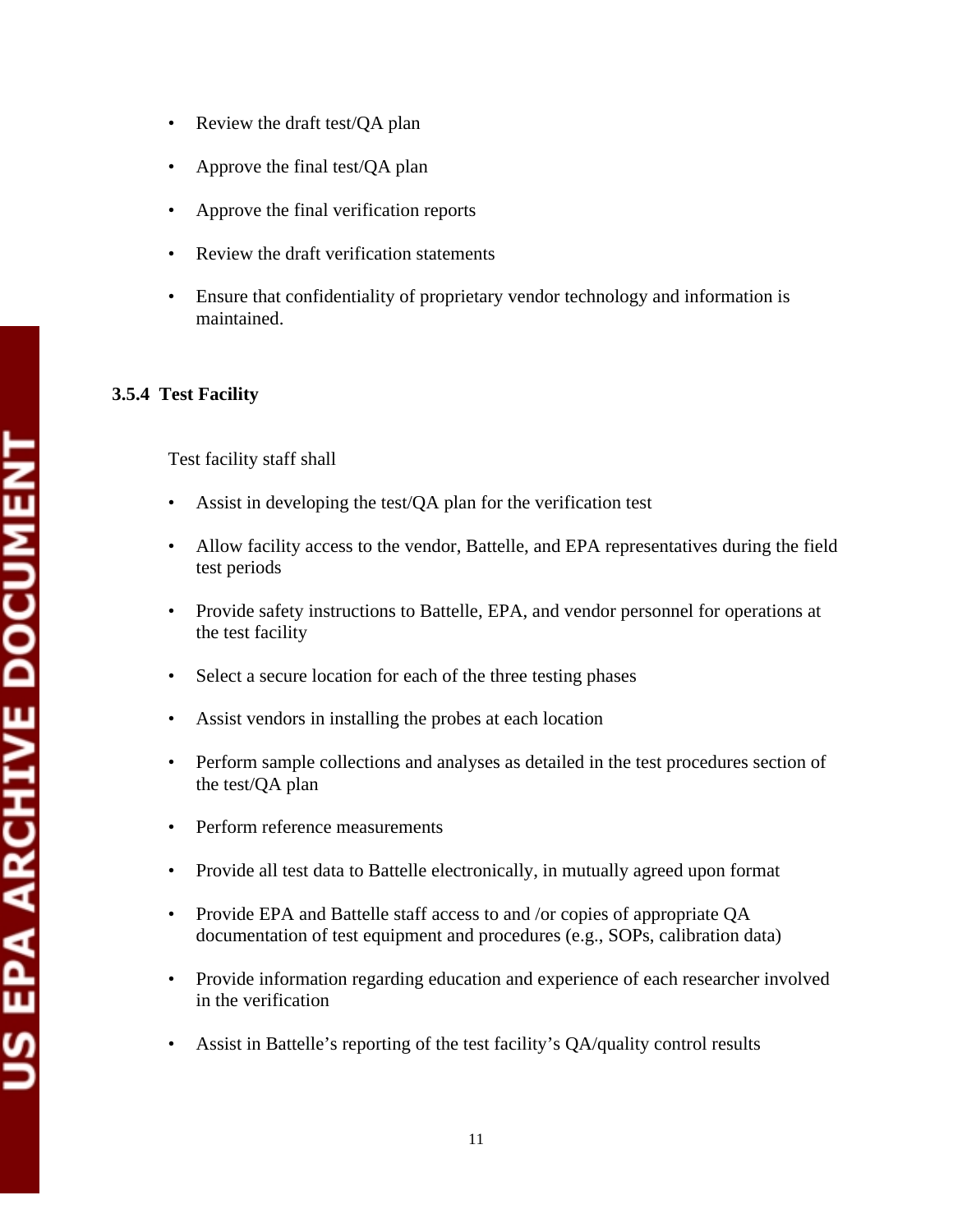- Review the draft test/QA plan
- Approve the final test/OA plan
- Approve the final verification reports
- Review the draft verification statements
- Ensure that confidentiality of proprietary vendor technology and information is maintained.

# **3.5.4 Test Facility**

Test facility staff shall

- Assist in developing the test/QA plan for the verification test
- Allow facility access to the vendor, Battelle, and EPA representatives during the field test periods
- Provide safety instructions to Battelle, EPA, and vendor personnel for operations at the test facility
- Select a secure location for each of the three testing phases
- Assist vendors in installing the probes at each location
- Perform sample collections and analyses as detailed in the test procedures section of the test/QA plan
- Perform reference measurements
- Provide all test data to Battelle electronically, in mutually agreed upon format
- Provide EPA and Battelle staff access to and /or copies of appropriate QA documentation of test equipment and procedures (e.g., SOPs, calibration data)
- Provide information regarding education and experience of each researcher involved in the verification
- Assist in Battelle's reporting of the test facility's QA/quality control results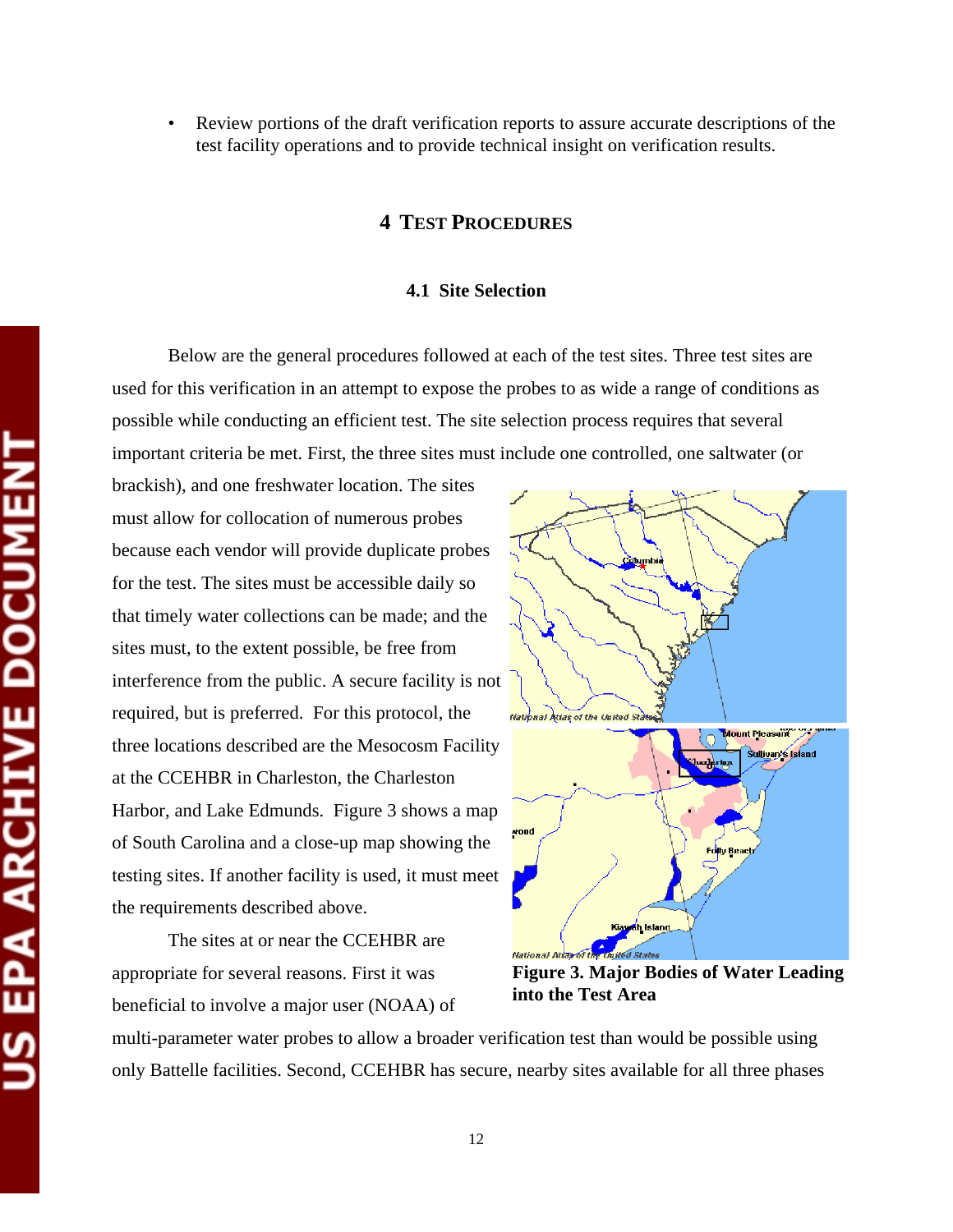• Review portions of the draft verification reports to assure accurate descriptions of the test facility operations and to provide technical insight on verification results.

#### **4 TEST PROCEDURES**

#### **4.1 Site Selection**

Below are the general procedures followed at each of the test sites. Three test sites are used for this verification in an attempt to expose the probes to as wide a range of conditions as possible while conducting an efficient test. The site selection process requires that several important criteria be met. First, the three sites must include one controlled, one saltwater (or

brackish), and one freshwater location. The sites must allow for collocation of numerous probes because each vendor will provide duplicate probes for the test. The sites must be accessible daily so that timely water collections can be made; and the sites must, to the extent possible, be free from interference from the public. A secure facility is not required, but is preferred. For this protocol, the three locations described are the Mesocosm Facility at the CCEHBR in Charleston, the Charleston Harbor, and Lake Edmunds. Figure 3 shows a map of South Carolina and a close-up map showing the testing sites. If another facility is used, it must meet the requirements described above.

The sites at or near the CCEHBR are appropriate for several reasons. First it was beneficial to involve a major user (NOAA) of



**Figure 3. Major Bodies of Water Leading into the Test Area** 

multi-parameter water probes to allow a broader verification test than would be possible using only Battelle facilities. Second, CCEHBR has secure, nearby sites available for all three phases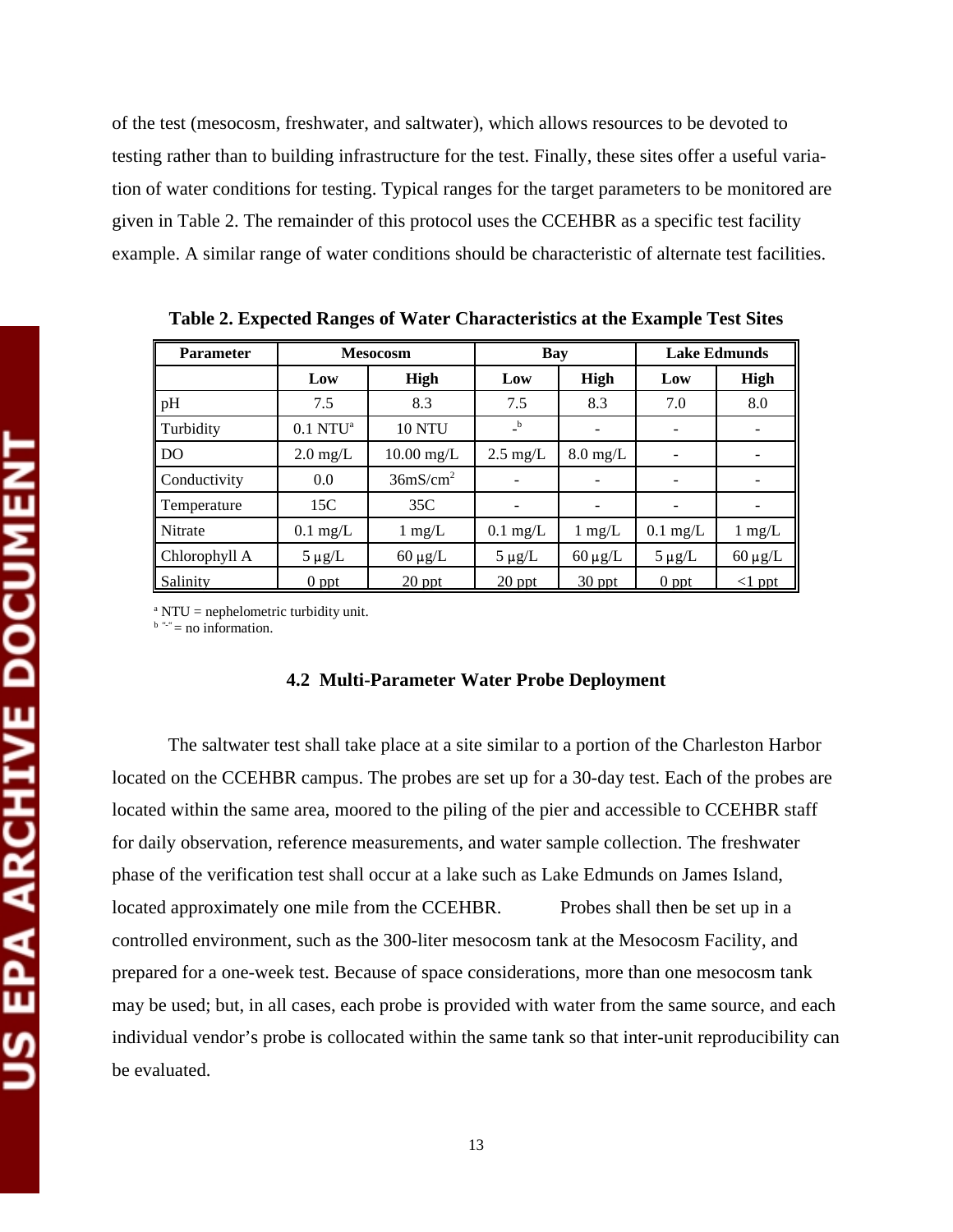of the test (mesocosm, freshwater, and saltwater), which allows resources to be devoted to testing rather than to building infrastructure for the test. Finally, these sites offer a useful variation of water conditions for testing. Typical ranges for the target parameters to be monitored are given in Table 2. The remainder of this protocol uses the CCEHBR as a specific test facility example. A similar range of water conditions should be characteristic of alternate test facilities.

| <b>Parameter</b> |                        | <b>Mesocosm</b>      | Bay                |                    | <b>Lake Edmunds</b> |                  |  |
|------------------|------------------------|----------------------|--------------------|--------------------|---------------------|------------------|--|
|                  | Low                    | <b>High</b>          | Low                | High               | Low                 | <b>High</b>      |  |
| pH               | 7.5                    | 8.3                  | 7.5                | 8.3                | 7.0                 | 8.0              |  |
| Turbidity        | $0.1$ NTU <sup>a</sup> | <b>10 NTU</b>        | $\mathbf{b}$       |                    |                     |                  |  |
| <b>DO</b>        | $2.0 \text{ mg/L}$     | $10.00$ mg/L         | $2.5 \text{ mg/L}$ | $8.0 \text{ mg/L}$ |                     |                  |  |
| Conductivity     | 0.0                    | 36mS/cm <sup>2</sup> |                    |                    |                     |                  |  |
| Temperature      | 15C                    | 35C                  |                    |                    |                     |                  |  |
| Nitrate          | $0.1$ mg/L             | $1 \text{ mg/L}$     | $0.1$ mg/L         | $1 \text{ mg/L}$   | $0.1 \text{ mg/L}$  | $1 \text{ mg/L}$ |  |
| Chlorophyll A    | $5 \mu g/L$            | $60 \mu g/L$         | $5 \mu g/L$        | $60 \mu g/L$       | $5 \mu g/L$         | $60 \mu g/L$     |  |
| Salinity         | $0$ ppt                | $20$ ppt             | $20$ ppt           | $30$ ppt           | $0$ ppt             | $\leq$ 1 ppt     |  |

**Table 2. Expected Ranges of Water Characteristics at the Example Test Sites** 

<sup>a</sup> NTU = nephelometric turbidity unit.

 $b^{\omega}$  = no information.

#### **4.2 Multi-Parameter Water Probe Deployment**

The saltwater test shall take place at a site similar to a portion of the Charleston Harbor located on the CCEHBR campus. The probes are set up for a 30-day test. Each of the probes are located within the same area, moored to the piling of the pier and accessible to CCEHBR staff for daily observation, reference measurements, and water sample collection. The freshwater phase of the verification test shall occur at a lake such as Lake Edmunds on James Island, located approximately one mile from the CCEHBR. Probes shall then be set up in a controlled environment, such as the 300-liter mesocosm tank at the Mesocosm Facility, and prepared for a one-week test. Because of space considerations, more than one mesocosm tank may be used; but, in all cases, each probe is provided with water from the same source, and each individual vendor's probe is collocated within the same tank so that inter-unit reproducibility can be evaluated.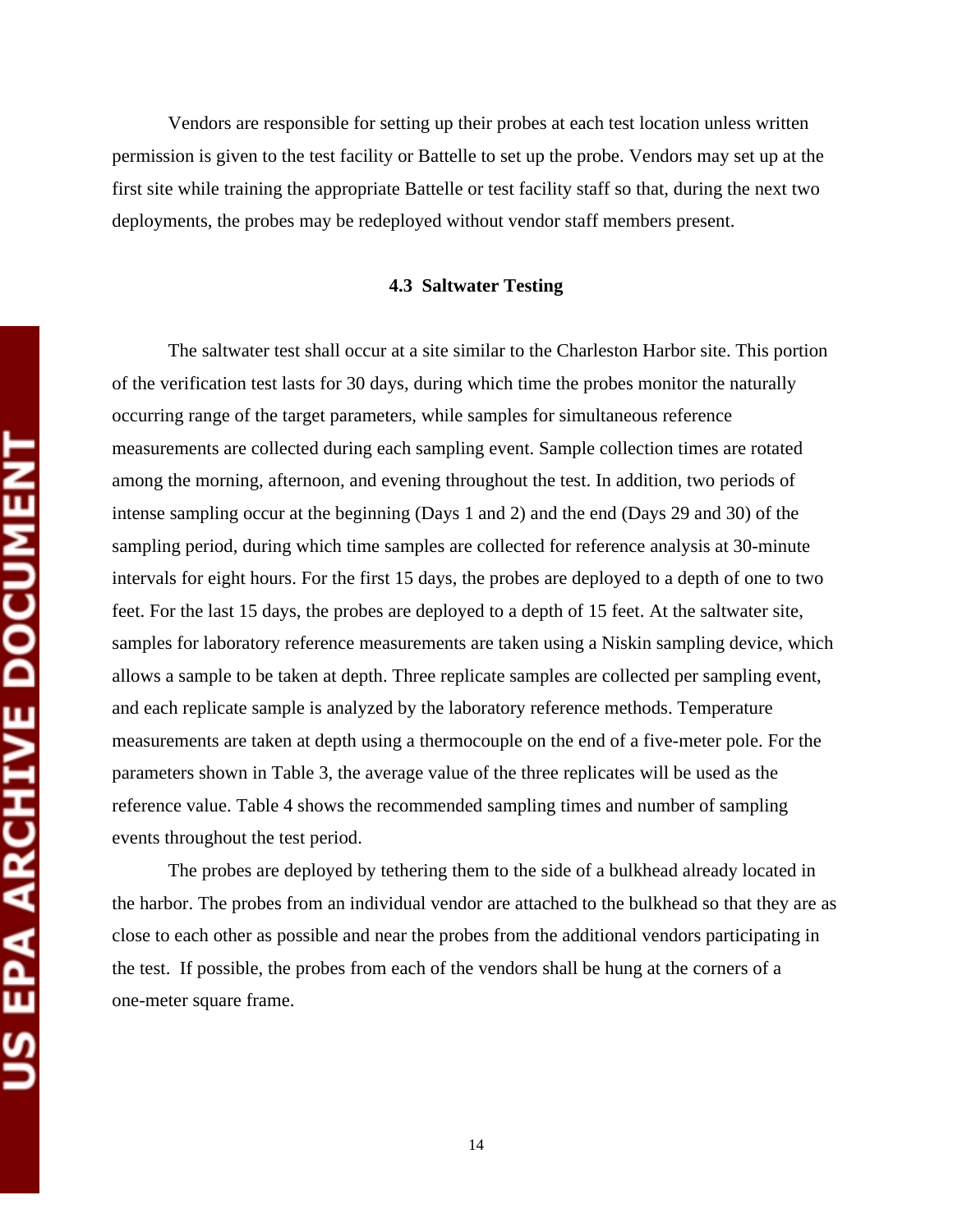Vendors are responsible for setting up their probes at each test location unless written permission is given to the test facility or Battelle to set up the probe. Vendors may set up at the first site while training the appropriate Battelle or test facility staff so that, during the next two deployments, the probes may be redeployed without vendor staff members present.

#### **4.3 Saltwater Testing**

The saltwater test shall occur at a site similar to the Charleston Harbor site. This portion of the verification test lasts for 30 days, during which time the probes monitor the naturally occurring range of the target parameters, while samples for simultaneous reference measurements are collected during each sampling event. Sample collection times are rotated among the morning, afternoon, and evening throughout the test. In addition, two periods of intense sampling occur at the beginning (Days 1 and 2) and the end (Days 29 and 30) of the sampling period, during which time samples are collected for reference analysis at 30-minute intervals for eight hours. For the first 15 days, the probes are deployed to a depth of one to two feet. For the last 15 days, the probes are deployed to a depth of 15 feet. At the saltwater site, samples for laboratory reference measurements are taken using a Niskin sampling device, which allows a sample to be taken at depth. Three replicate samples are collected per sampling event, and each replicate sample is analyzed by the laboratory reference methods. Temperature measurements are taken at depth using a thermocouple on the end of a five-meter pole. For the parameters shown in Table 3, the average value of the three replicates will be used as the reference value. Table 4 shows the recommended sampling times and number of sampling events throughout the test period.

The probes are deployed by tethering them to the side of a bulkhead already located in the harbor. The probes from an individual vendor are attached to the bulkhead so that they are as close to each other as possible and near the probes from the additional vendors participating in the test. If possible, the probes from each of the vendors shall be hung at the corners of a one-meter square frame.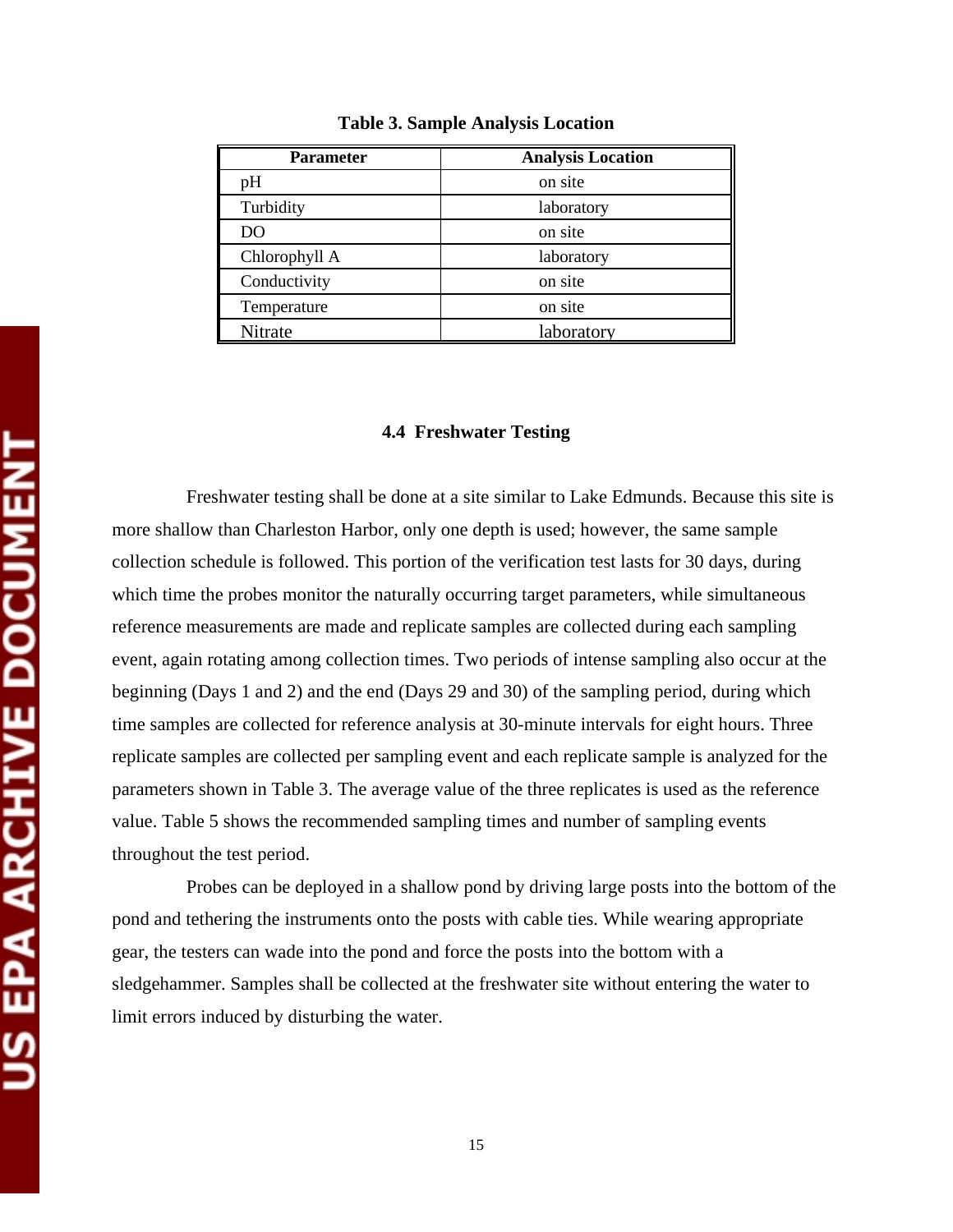| <b>Parameter</b> | <b>Analysis Location</b> |
|------------------|--------------------------|
| рH               | on site                  |
| Turbidity        | laboratory               |
| DO               | on site                  |
| Chlorophyll A    | laboratory               |
| Conductivity     | on site                  |
| Temperature      | on site                  |
| Nitrate          | laboratory               |

**Table 3. Sample Analysis Location** 

#### **4.4 Freshwater Testing**

Freshwater testing shall be done at a site similar to Lake Edmunds. Because this site is more shallow than Charleston Harbor, only one depth is used; however, the same sample collection schedule is followed. This portion of the verification test lasts for 30 days, during which time the probes monitor the naturally occurring target parameters, while simultaneous reference measurements are made and replicate samples are collected during each sampling event, again rotating among collection times. Two periods of intense sampling also occur at the beginning (Days 1 and 2) and the end (Days 29 and 30) of the sampling period, during which time samples are collected for reference analysis at 30-minute intervals for eight hours. Three replicate samples are collected per sampling event and each replicate sample is analyzed for the parameters shown in Table 3. The average value of the three replicates is used as the reference value. Table 5 shows the recommended sampling times and number of sampling events throughout the test period.

Probes can be deployed in a shallow pond by driving large posts into the bottom of the pond and tethering the instruments onto the posts with cable ties. While wearing appropriate gear, the testers can wade into the pond and force the posts into the bottom with a sledgehammer. Samples shall be collected at the freshwater site without entering the water to limit errors induced by disturbing the water.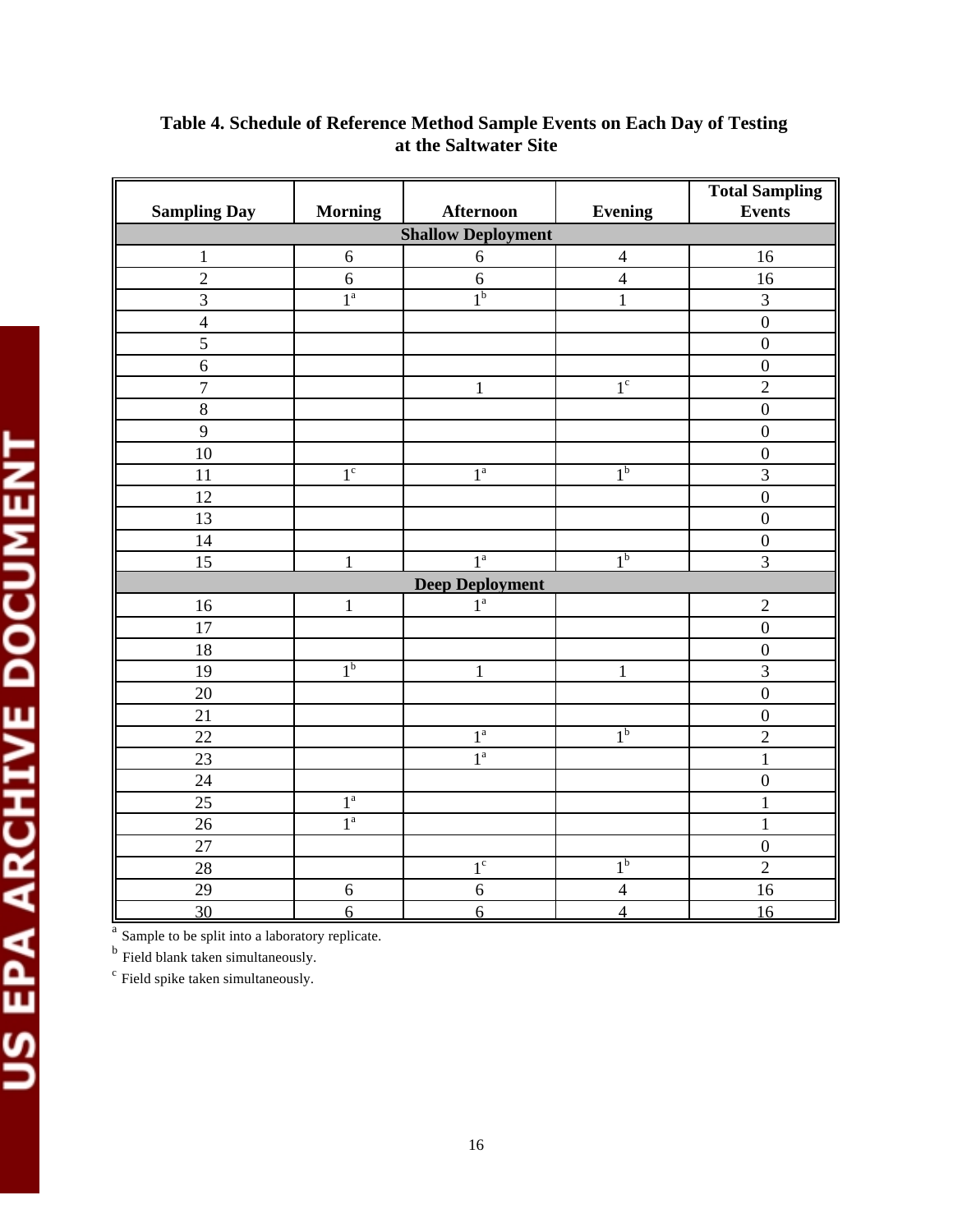| <b>Sampling Day</b> | <b>Morning</b>   | <b>Afternoon</b>          | <b>Evening</b>                 | <b>Total Sampling</b><br><b>Events</b> |  |  |  |
|---------------------|------------------|---------------------------|--------------------------------|----------------------------------------|--|--|--|
|                     |                  | <b>Shallow Deployment</b> |                                |                                        |  |  |  |
| $\mathbf{1}$        | $\sqrt{6}$       | $\sqrt{6}$                | $\overline{4}$                 | 16                                     |  |  |  |
| $\overline{2}$      | 6                | $\sqrt{6}$                | $\overline{4}$                 | 16                                     |  |  |  |
| 3                   | $1^{\mathrm{a}}$ | $1^{\rm b}$               | $\overline{3}$<br>$\mathbf{1}$ |                                        |  |  |  |
| $\overline{4}$      |                  |                           |                                | $\overline{0}$                         |  |  |  |
| 5                   |                  |                           |                                | $\boldsymbol{0}$                       |  |  |  |
| 6                   |                  |                           |                                | $\overline{0}$                         |  |  |  |
| $\overline{7}$      |                  | $\mathbf{1}$              | $1^{\circ}$                    | $\overline{2}$                         |  |  |  |
| $\,8\,$             |                  |                           |                                | $\overline{0}$                         |  |  |  |
| $\mathbf{9}$        |                  |                           |                                | $\boldsymbol{0}$                       |  |  |  |
| 10                  |                  |                           |                                | $\boldsymbol{0}$                       |  |  |  |
| 11                  | 1 <sup>c</sup>   | 1 <sup>a</sup>            | 1 <sup>b</sup>                 | $\overline{3}$                         |  |  |  |
| 12                  |                  |                           |                                | $\boldsymbol{0}$                       |  |  |  |
| 13                  |                  |                           |                                | $\boldsymbol{0}$                       |  |  |  |
| 14                  |                  |                           |                                | $\boldsymbol{0}$                       |  |  |  |
| 15                  | $\mathbf{1}$     | 1 <sup>a</sup>            | 1 <sup>b</sup>                 | $\overline{3}$                         |  |  |  |
|                     |                  | <b>Deep Deployment</b>    |                                |                                        |  |  |  |
| 16                  | $\mathbf{1}$     | $1^{\mathrm{a}}$          |                                | $\overline{2}$                         |  |  |  |
| 17                  |                  |                           |                                | $\overline{0}$                         |  |  |  |
| 18                  |                  |                           |                                | $\boldsymbol{0}$                       |  |  |  |
| 19                  | 1 <sup>b</sup>   | $\mathbf 1$               | $\,1$                          | $\overline{3}$                         |  |  |  |
| 20                  |                  |                           |                                | $\overline{0}$                         |  |  |  |
| 21                  |                  |                           |                                | $\boldsymbol{0}$                       |  |  |  |
| $\overline{22}$     |                  | 1 <sup>a</sup>            | 1 <sup>b</sup>                 | $\overline{2}$                         |  |  |  |
| 23                  |                  | 1 <sup>a</sup>            |                                | $\mathbf 1$                            |  |  |  |
| 24                  |                  |                           |                                | $\boldsymbol{0}$                       |  |  |  |
| 25                  | $1^a$            |                           |                                | $\mathbf 1$                            |  |  |  |
| $26\,$              | $1^{\mathrm{a}}$ |                           |                                | $\mathbf 1$                            |  |  |  |
| 27                  |                  |                           |                                | $\boldsymbol{0}$                       |  |  |  |
| 28                  |                  | $1^{\circ}$               | 1 <sup>b</sup>                 | $\overline{2}$                         |  |  |  |
| 29                  | 6                | $6\,$                     | $\overline{4}$                 | 16                                     |  |  |  |
| 30                  | 6                | 6                         | $\overline{4}$                 | 16                                     |  |  |  |

# **Table 4. Schedule of Reference Method Sample Events on Each Day of Testing at the Saltwater Site**

<sup>b</sup> Field blank taken simultaneously.

<sup>c</sup> Field spike taken simultaneously.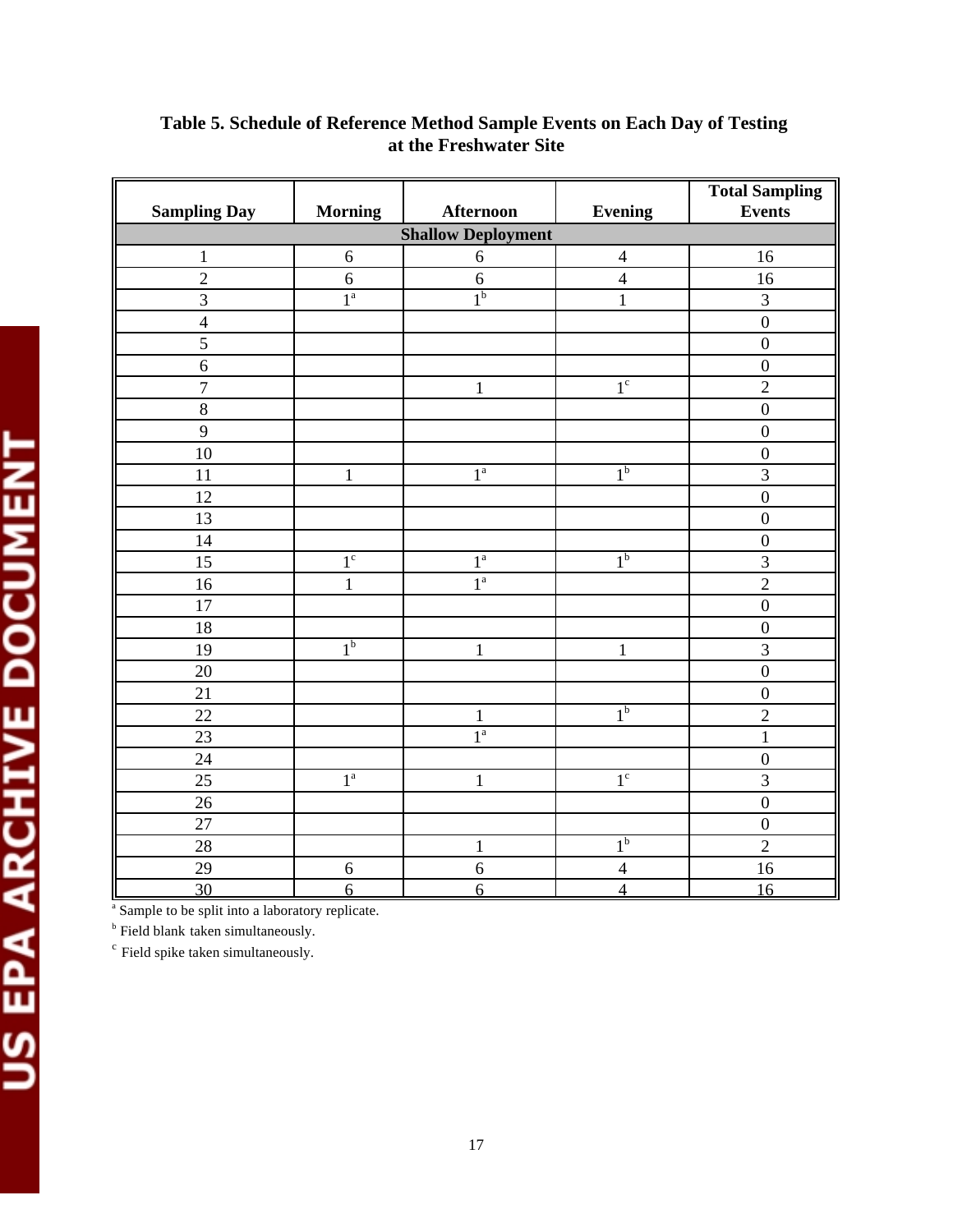|                           |                  |                  |                      | <b>Total Sampling</b>   |  |  |  |  |  |  |
|---------------------------|------------------|------------------|----------------------|-------------------------|--|--|--|--|--|--|
| <b>Sampling Day</b>       | <b>Morning</b>   | <b>Afternoon</b> | <b>Evening</b>       | <b>Events</b>           |  |  |  |  |  |  |
| <b>Shallow Deployment</b> |                  |                  |                      |                         |  |  |  |  |  |  |
| $\mathbf{1}$              | $\sqrt{6}$       | $\sqrt{6}$       | $\overline{4}$<br>16 |                         |  |  |  |  |  |  |
| $\overline{2}$            | $\sqrt{6}$       | $\sqrt{6}$       | $\overline{4}$       | 16                      |  |  |  |  |  |  |
| $\overline{3}$            | $1^a$            | 1 <sup>b</sup>   | $\mathbf{1}$         | 3                       |  |  |  |  |  |  |
| $\overline{4}$            |                  |                  |                      | $\boldsymbol{0}$        |  |  |  |  |  |  |
| $\mathfrak{S}$            |                  |                  |                      | $\boldsymbol{0}$        |  |  |  |  |  |  |
| 6                         |                  |                  |                      | $\boldsymbol{0}$        |  |  |  |  |  |  |
| $\overline{7}$            |                  | $\mathbf{1}$     | 1 <sup>c</sup>       | $\overline{2}$          |  |  |  |  |  |  |
| $\overline{8}$            |                  |                  |                      | $\mathbf 0$             |  |  |  |  |  |  |
| 9                         |                  |                  |                      | $\boldsymbol{0}$        |  |  |  |  |  |  |
| 10                        |                  |                  |                      | $\boldsymbol{0}$        |  |  |  |  |  |  |
| 11                        | $\mathbf{1}$     | $1^{\mathrm{a}}$ | 1 <sup>b</sup>       | $\overline{3}$          |  |  |  |  |  |  |
| 12                        |                  |                  |                      | $\boldsymbol{0}$        |  |  |  |  |  |  |
| 13                        |                  |                  |                      | $\mathbf 0$             |  |  |  |  |  |  |
| 14                        |                  |                  |                      | $\boldsymbol{0}$        |  |  |  |  |  |  |
| 15                        | 1 <sup>c</sup>   | $1^a$            | 1 <sup>b</sup>       | $\overline{\mathbf{3}}$ |  |  |  |  |  |  |
| 16                        | $\mathbf{1}$     | 1 <sup>a</sup>   |                      | $\overline{2}$          |  |  |  |  |  |  |
| 17                        |                  |                  |                      | $\boldsymbol{0}$        |  |  |  |  |  |  |
| 18                        |                  |                  |                      | $\boldsymbol{0}$        |  |  |  |  |  |  |
| 19                        | 1 <sup>b</sup>   | $\mathbf 1$      | $\mathbf{1}$         | 3                       |  |  |  |  |  |  |
| 20                        |                  |                  |                      | $\overline{0}$          |  |  |  |  |  |  |
| 21                        |                  |                  |                      | $\boldsymbol{0}$        |  |  |  |  |  |  |
| 22                        |                  | $\mathbf 1$      | 1 <sup>b</sup>       | $\overline{2}$          |  |  |  |  |  |  |
| 23                        |                  | 1 <sup>a</sup>   |                      | $\mathbf{1}$            |  |  |  |  |  |  |
| 24                        |                  |                  |                      | $\boldsymbol{0}$        |  |  |  |  |  |  |
| 25                        | $1^{\mathrm{a}}$ | $\mathbf{1}$     | $1^{\circ}$          | $\overline{3}$          |  |  |  |  |  |  |
| 26                        |                  |                  |                      | $\boldsymbol{0}$        |  |  |  |  |  |  |
| 27                        |                  |                  |                      | $\boldsymbol{0}$        |  |  |  |  |  |  |
| 28                        |                  | $\,1\,$          | 1 <sup>b</sup>       | $\overline{2}$          |  |  |  |  |  |  |
| 29                        | $\boldsymbol{6}$ | $\sqrt{6}$       | $\overline{4}$       | 16                      |  |  |  |  |  |  |
| 30                        | $\overline{6}$   | 6                | $\overline{4}$       | 16                      |  |  |  |  |  |  |

# **Table 5. Schedule of Reference Method Sample Events on Each Day of Testing at the Freshwater Site**

<sup>b</sup> Field blank taken simultaneously.

<sup>c</sup> Field spike taken simultaneously.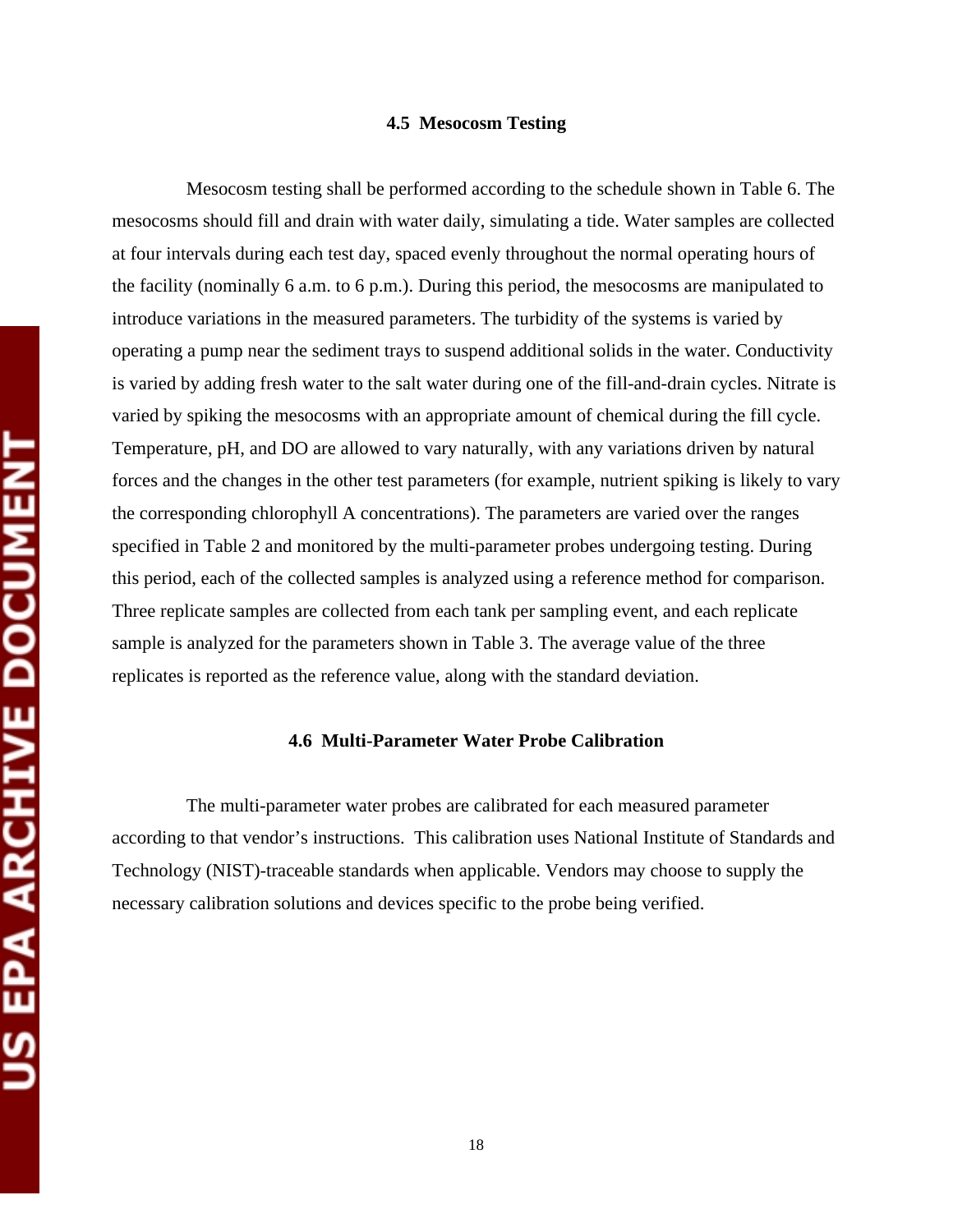#### **4.5 Mesocosm Testing**

Mesocosm testing shall be performed according to the schedule shown in Table 6. The mesocosms should fill and drain with water daily, simulating a tide. Water samples are collected at four intervals during each test day, spaced evenly throughout the normal operating hours of the facility (nominally 6 a.m. to 6 p.m.). During this period, the mesocosms are manipulated to introduce variations in the measured parameters. The turbidity of the systems is varied by operating a pump near the sediment trays to suspend additional solids in the water. Conductivity is varied by adding fresh water to the salt water during one of the fill-and-drain cycles. Nitrate is varied by spiking the mesocosms with an appropriate amount of chemical during the fill cycle. Temperature, pH, and DO are allowed to vary naturally, with any variations driven by natural forces and the changes in the other test parameters (for example, nutrient spiking is likely to vary the corresponding chlorophyll A concentrations). The parameters are varied over the ranges specified in Table 2 and monitored by the multi-parameter probes undergoing testing. During this period, each of the collected samples is analyzed using a reference method for comparison. Three replicate samples are collected from each tank per sampling event, and each replicate sample is analyzed for the parameters shown in Table 3. The average value of the three replicates is reported as the reference value, along with the standard deviation.

#### **4.6 Multi-Parameter Water Probe Calibration**

The multi-parameter water probes are calibrated for each measured parameter according to that vendor's instructions. This calibration uses National Institute of Standards and Technology (NIST)-traceable standards when applicable. Vendors may choose to supply the necessary calibration solutions and devices specific to the probe being verified.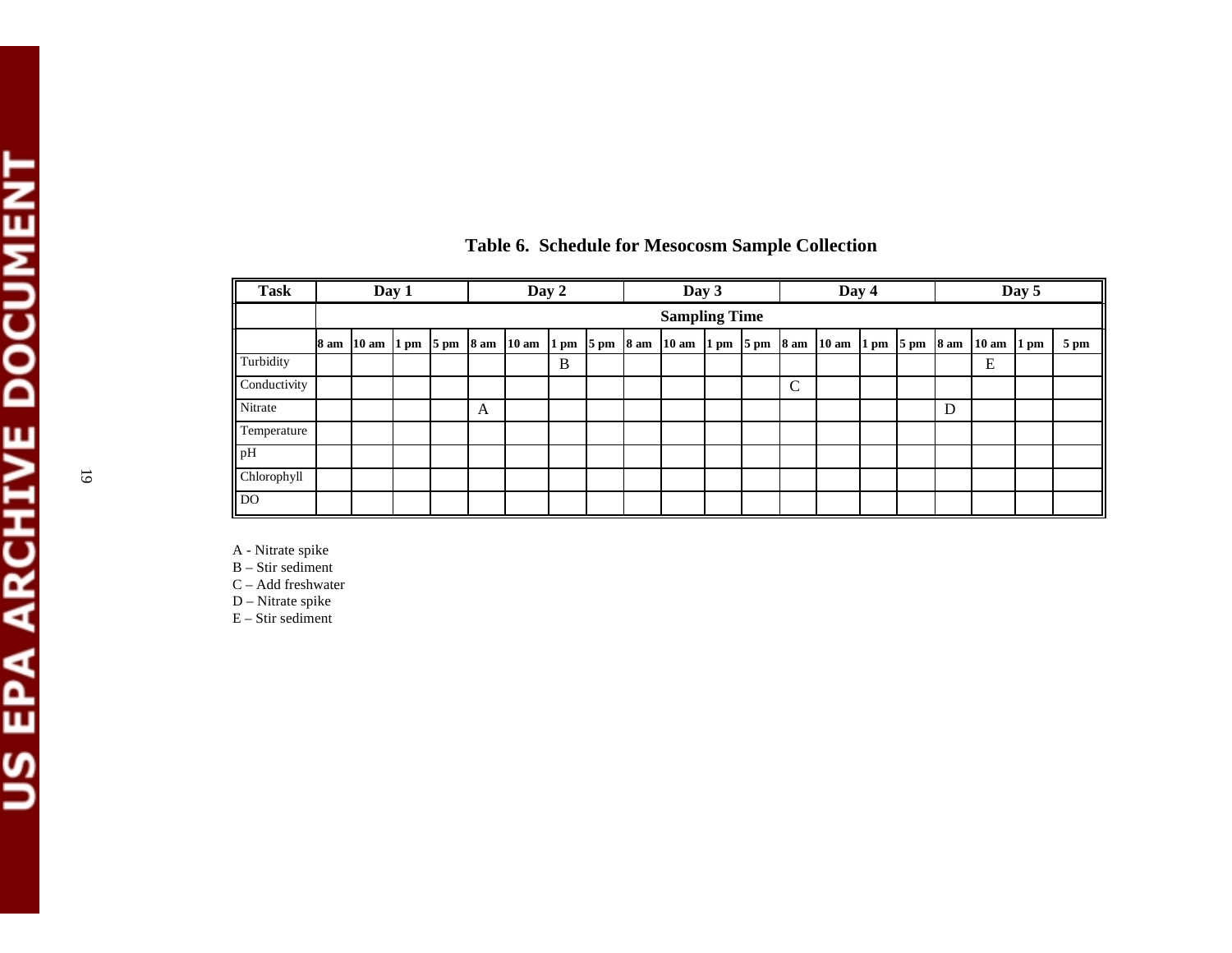| <b>Task</b>    | Day 2<br>Day 1 |  |  |  | Day 3 |                                                                                                                     |   | Day 4 |  |                      | Day 5 |  |   |                                                              |  |  |   |            |                |      |
|----------------|----------------|--|--|--|-------|---------------------------------------------------------------------------------------------------------------------|---|-------|--|----------------------|-------|--|---|--------------------------------------------------------------|--|--|---|------------|----------------|------|
|                |                |  |  |  |       |                                                                                                                     |   |       |  | <b>Sampling Time</b> |       |  |   |                                                              |  |  |   |            |                |      |
|                | 8 am           |  |  |  |       | $10 \text{ am } 1 \text{ pm } 5 \text{ pm } 8 \text{ am } 10 \text{ am } 1 \text{ pm } 5 \text{ pm } 8 \text{ am }$ |   |       |  | $10 \text{ am}$      |       |  |   | $1 \text{ pm}$ 5 pm $8 \text{ am}$ 10 am $1 \text{ pm}$ 5 pm |  |  |   | 8 am 10 am | $1 \text{ pm}$ | 5 pm |
| Turbidity      |                |  |  |  |       |                                                                                                                     | B |       |  |                      |       |  |   |                                                              |  |  |   | E          |                |      |
| Conductivity   |                |  |  |  |       |                                                                                                                     |   |       |  |                      |       |  | C |                                                              |  |  |   |            |                |      |
| Nitrate        |                |  |  |  | A     |                                                                                                                     |   |       |  |                      |       |  |   |                                                              |  |  | D |            |                |      |
| Temperature    |                |  |  |  |       |                                                                                                                     |   |       |  |                      |       |  |   |                                                              |  |  |   |            |                |      |
| $\mathbf{p}$   |                |  |  |  |       |                                                                                                                     |   |       |  |                      |       |  |   |                                                              |  |  |   |            |                |      |
| Chlorophyll    |                |  |  |  |       |                                                                                                                     |   |       |  |                      |       |  |   |                                                              |  |  |   |            |                |      |
| $\overline{D}$ |                |  |  |  |       |                                                                                                                     |   |       |  |                      |       |  |   |                                                              |  |  |   |            |                |      |

## **Table 6. Schedule for Mesocosm Sample Collection**

A - Nitrate spike

B – Stir sediment

C – Add freshwater

D – Nitrate spike

 $E -$ Stir sediment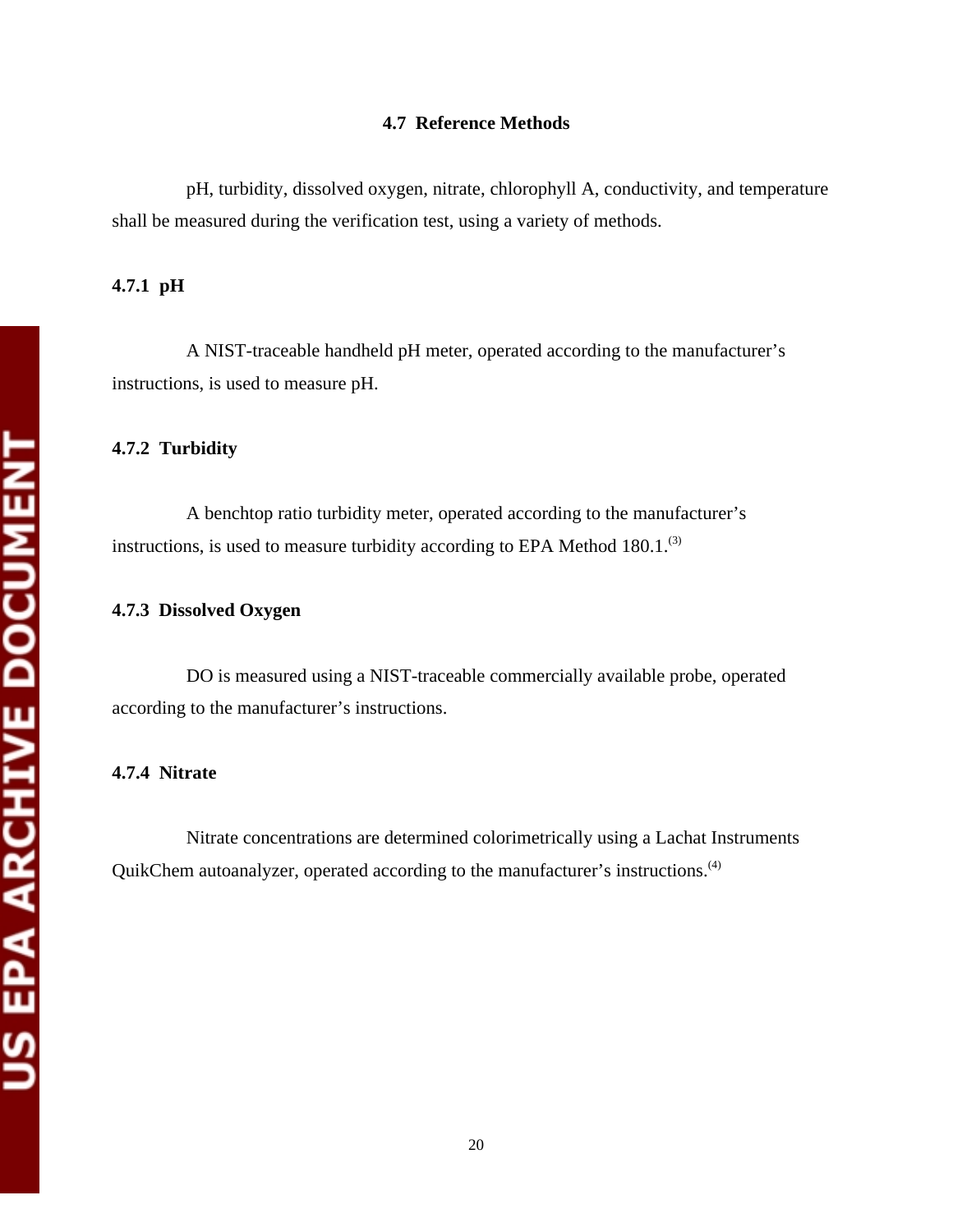#### **4.7 Reference Methods**

pH, turbidity, dissolved oxygen, nitrate, chlorophyll A, conductivity, and temperature shall be measured during the verification test, using a variety of methods.

#### **4.7.1 pH**

A NIST-traceable handheld pH meter, operated according to the manufacturer's instructions, is used to measure pH.

#### **4.7.2 Turbidity**

A benchtop ratio turbidity meter, operated according to the manufacturer's instructions, is used to measure turbidity according to EPA Method 180.1.<sup>(3)</sup>

#### **4.7.3 Dissolved Oxygen**

DO is measured using a NIST-traceable commercially available probe, operated according to the manufacturer's instructions.

#### **4.7.4 Nitrate**

Nitrate concentrations are determined colorimetrically using a Lachat Instruments QuikChem autoanalyzer, operated according to the manufacturer's instructions.(4)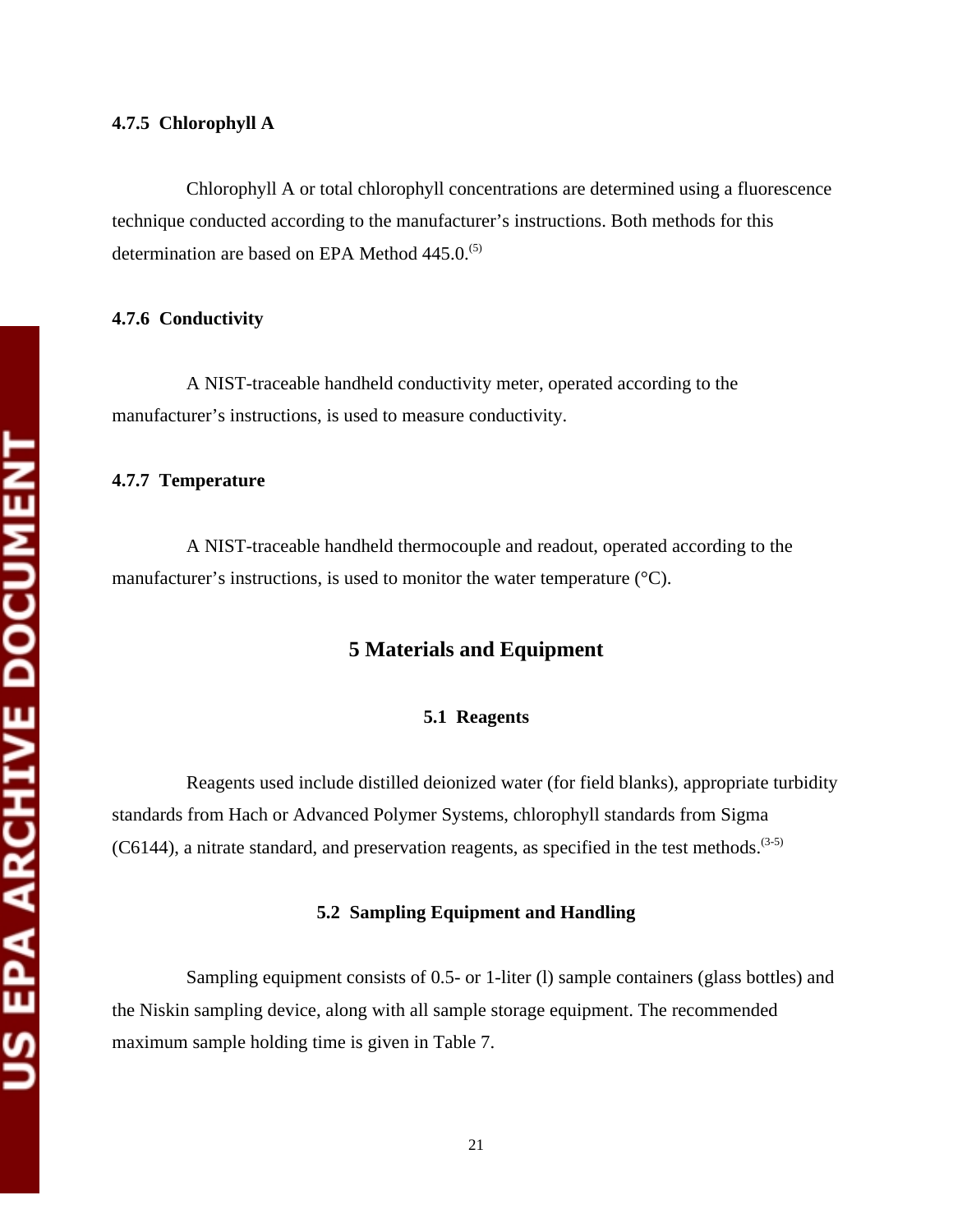Chlorophyll A or total chlorophyll concentrations are determined using a fluorescence technique conducted according to the manufacturer's instructions. Both methods for this determination are based on EPA Method 445.0.<sup>(5)</sup>

#### **4.7.6 Conductivity**

A NIST-traceable handheld conductivity meter, operated according to the manufacturer's instructions, is used to measure conductivity.

#### **4.7.7 Temperature**

A NIST-traceable handheld thermocouple and readout, operated according to the manufacturer's instructions, is used to monitor the water temperature (°C).

### **5 Materials and Equipment**

#### **5.1 Reagents**

Reagents used include distilled deionized water (for field blanks), appropriate turbidity standards from Hach or Advanced Polymer Systems, chlorophyll standards from Sigma (C6144), a nitrate standard, and preservation reagents, as specified in the test methods.<sup> $(3-5)$ </sup>

#### **5.2 Sampling Equipment and Handling**

Sampling equipment consists of 0.5- or 1-liter (l) sample containers (glass bottles) and the Niskin sampling device, along with all sample storage equipment. The recommended maximum sample holding time is given in Table 7.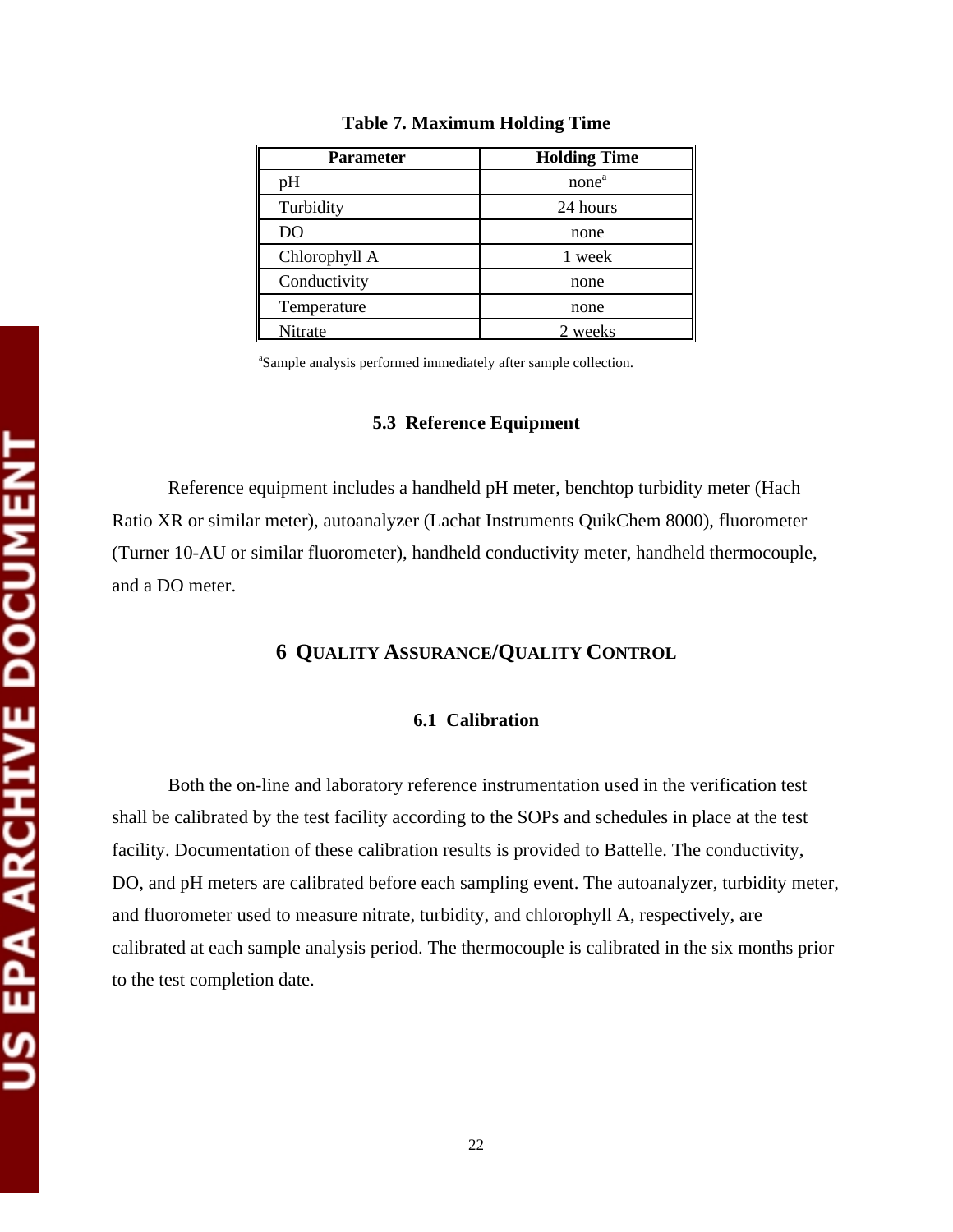| <b>Parameter</b> | <b>Holding Time</b> |
|------------------|---------------------|
| pH               | none <sup>a</sup>   |
| Turbidity        | 24 hours            |
| D <sub>O</sub>   | none                |
| Chlorophyll A    | 1 week              |
| Conductivity     | none                |
| Temperature      | none                |
| Nitrate          | 2 weeks             |

**Table 7. Maximum Holding Time** 

a Sample analysis performed immediately after sample collection.

#### **5.3 Reference Equipment**

Reference equipment includes a handheld pH meter, benchtop turbidity meter (Hach Ratio XR or similar meter), autoanalyzer (Lachat Instruments QuikChem 8000), fluorometer (Turner 10-AU or similar fluorometer), handheld conductivity meter, handheld thermocouple, and a DO meter.

# **6 QUALITY ASSURANCE/QUALITY CONTROL**

#### **6.1 Calibration**

Both the on-line and laboratory reference instrumentation used in the verification test shall be calibrated by the test facility according to the SOPs and schedules in place at the test facility. Documentation of these calibration results is provided to Battelle. The conductivity, DO, and pH meters are calibrated before each sampling event. The autoanalyzer, turbidity meter, and fluorometer used to measure nitrate, turbidity, and chlorophyll A, respectively, are calibrated at each sample analysis period. The thermocouple is calibrated in the six months prior to the test completion date.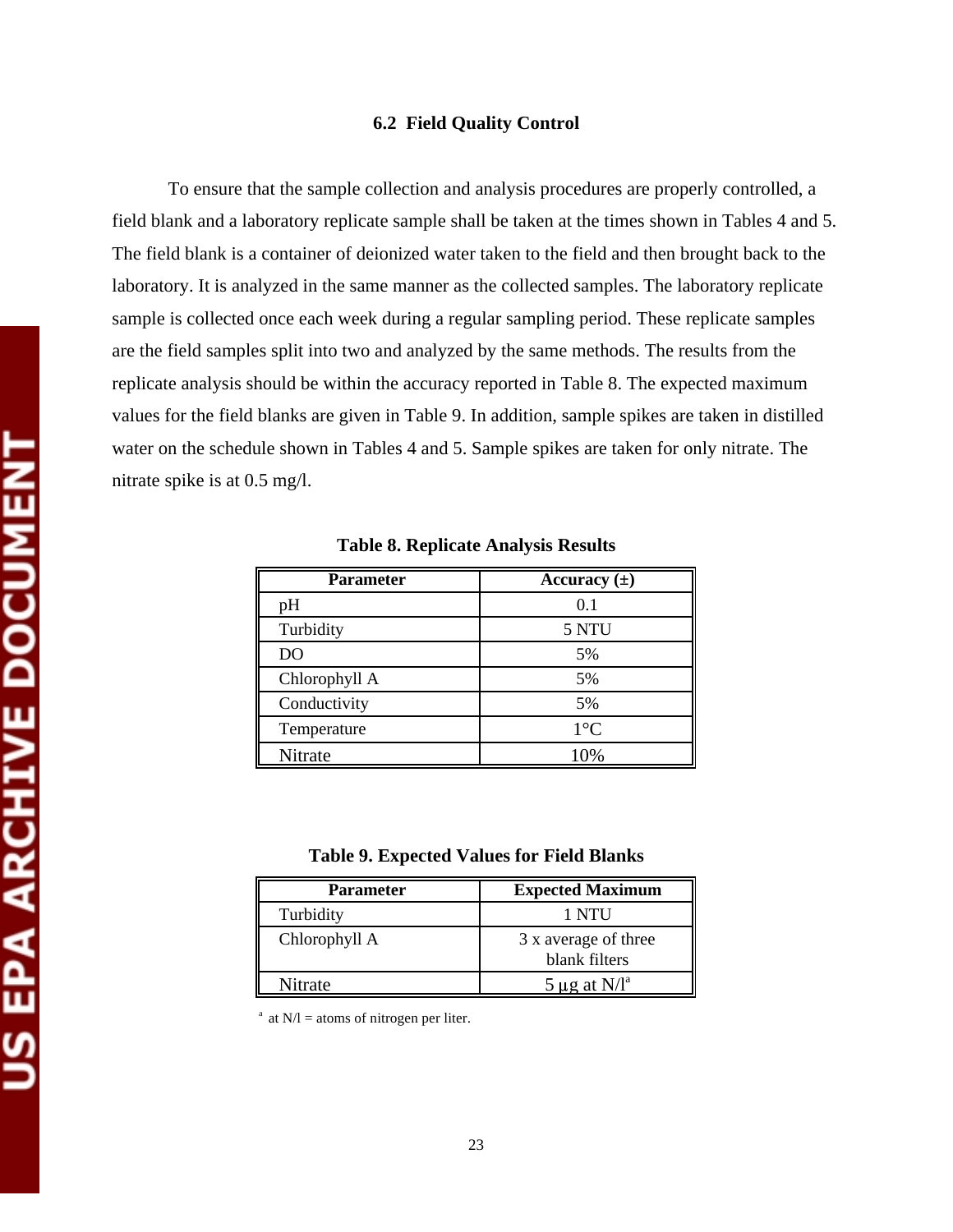#### **6.2 Field Quality Control**

To ensure that the sample collection and analysis procedures are properly controlled, a field blank and a laboratory replicate sample shall be taken at the times shown in Tables 4 and 5. The field blank is a container of deionized water taken to the field and then brought back to the laboratory. It is analyzed in the same manner as the collected samples. The laboratory replicate sample is collected once each week during a regular sampling period. These replicate samples are the field samples split into two and analyzed by the same methods. The results from the replicate analysis should be within the accuracy reported in Table 8. The expected maximum values for the field blanks are given in Table 9. In addition, sample spikes are taken in distilled water on the schedule shown in Tables 4 and 5. Sample spikes are taken for only nitrate. The nitrate spike is at 0.5 mg/l.

| <b>Parameter</b> | Accuracy $(\pm)$ |
|------------------|------------------|
| pH               | 0.1              |
| Turbidity        | 5 NTU            |
| D <sub>O</sub>   | 5%               |
| Chlorophyll A    | 5%               |
| Conductivity     | 5%               |
| Temperature      | $1^{\circ}C$     |
| Nitrate          | 10%              |

**Table 8. Replicate Analysis Results** 

**Table 9. Expected Values for Field Blanks** 

| <b>Parameter</b> | <b>Expected Maximum</b>               |  |
|------------------|---------------------------------------|--|
| Turbidity        | 1 NTU                                 |  |
| Chlorophyll A    | 3 x average of three<br>blank filters |  |
| Nitrate          | $5 \mu$ g at N/l <sup>a</sup>         |  |

at  $N/l$  = atoms of nitrogen per liter.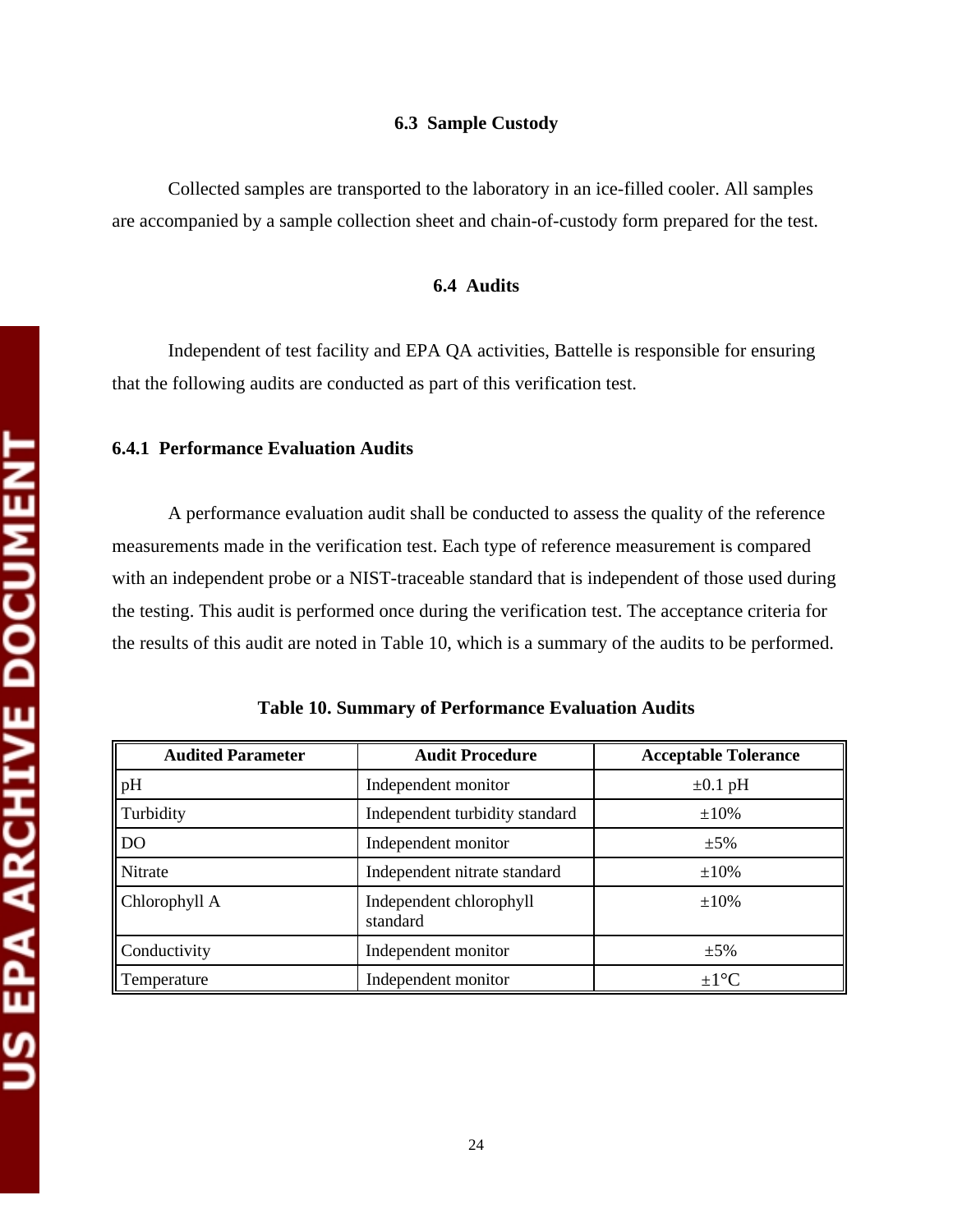Collected samples are transported to the laboratory in an ice-filled cooler. All samples are accompanied by a sample collection sheet and chain-of-custody form prepared for the test.

#### **6.4 Audits**

Independent of test facility and EPA QA activities, Battelle is responsible for ensuring that the following audits are conducted as part of this verification test.

#### **6.4.1 Performance Evaluation Audits**

A performance evaluation audit shall be conducted to assess the quality of the reference measurements made in the verification test. Each type of reference measurement is compared with an independent probe or a NIST-traceable standard that is independent of those used during the testing. This audit is performed once during the verification test. The acceptance criteria for the results of this audit are noted in Table 10, which is a summary of the audits to be performed.

| <b>Audited Parameter</b> | <b>Audit Procedure</b>              | <b>Acceptable Tolerance</b> |  |
|--------------------------|-------------------------------------|-----------------------------|--|
| pH                       | Independent monitor                 | $\pm 0.1$ pH                |  |
| Turbidity                | Independent turbidity standard      | $\pm 10\%$                  |  |
| DO                       | Independent monitor                 | $\pm 5\%$                   |  |
| Nitrate                  | Independent nitrate standard        | $\pm 10\%$                  |  |
| Chlorophyll A            | Independent chlorophyll<br>standard | $\pm 10\%$                  |  |
| Conductivity             | Independent monitor                 | $\pm 5\%$                   |  |
| Temperature              | Independent monitor                 | $\pm 1$ <sup>o</sup> C      |  |

|  |  |  | Table 10. Summary of Performance Evaluation Audits |
|--|--|--|----------------------------------------------------|
|--|--|--|----------------------------------------------------|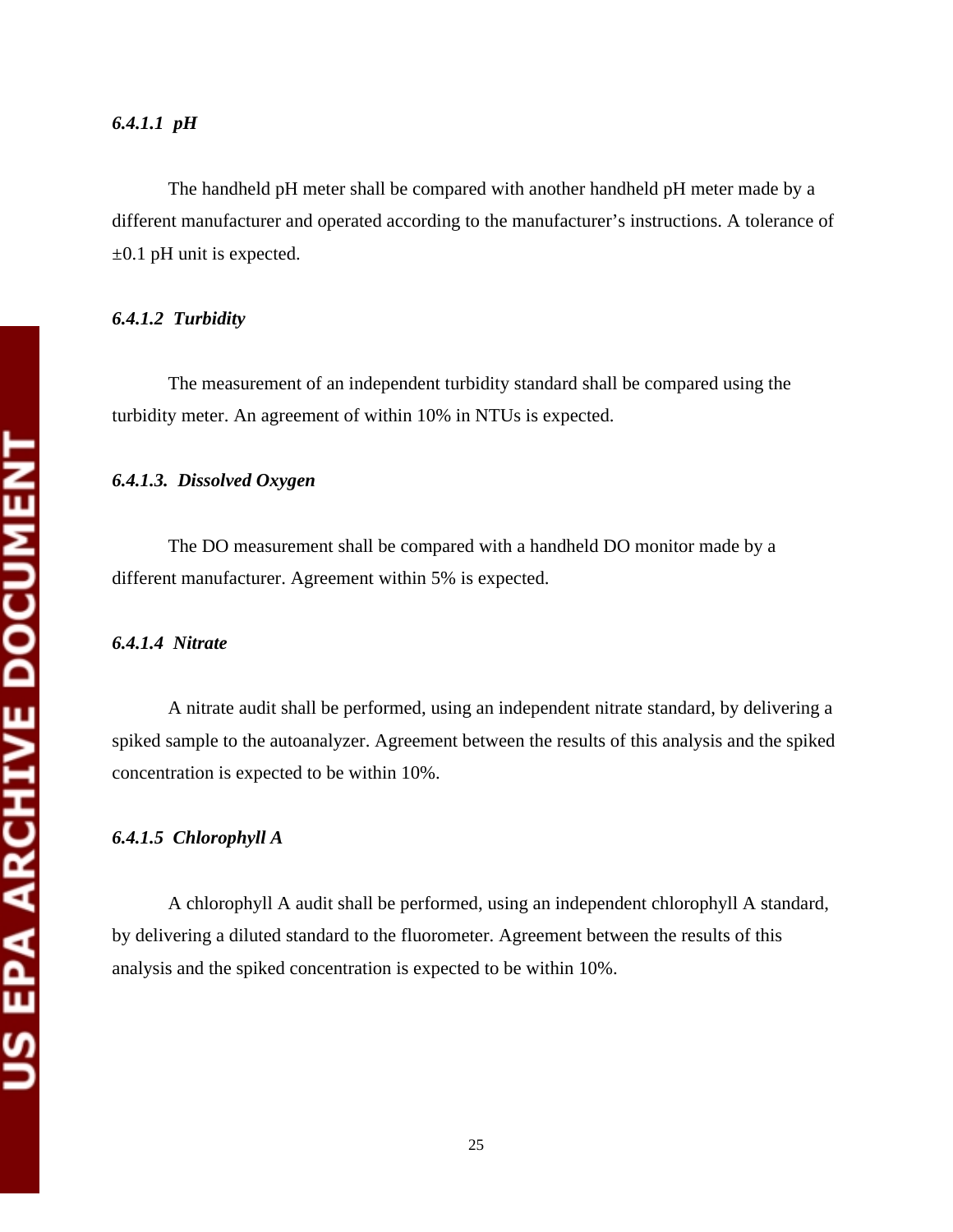#### *6.4.1.1 pH*

The handheld pH meter shall be compared with another handheld pH meter made by a different manufacturer and operated according to the manufacturer's instructions. A tolerance of  $\pm 0.1$  pH unit is expected.

#### *6.4.1.2 Turbidity*

The measurement of an independent turbidity standard shall be compared using the turbidity meter. An agreement of within 10% in NTUs is expected.

#### *6.4.1.3. Dissolved Oxygen*

The DO measurement shall be compared with a handheld DO monitor made by a different manufacturer. Agreement within 5% is expected.

#### *6.4.1.4 Nitrate*

A nitrate audit shall be performed, using an independent nitrate standard, by delivering a spiked sample to the autoanalyzer. Agreement between the results of this analysis and the spiked concentration is expected to be within 10%.

#### *6.4.1.5 Chlorophyll A*

A chlorophyll A audit shall be performed, using an independent chlorophyll A standard, by delivering a diluted standard to the fluorometer. Agreement between the results of this analysis and the spiked concentration is expected to be within 10%.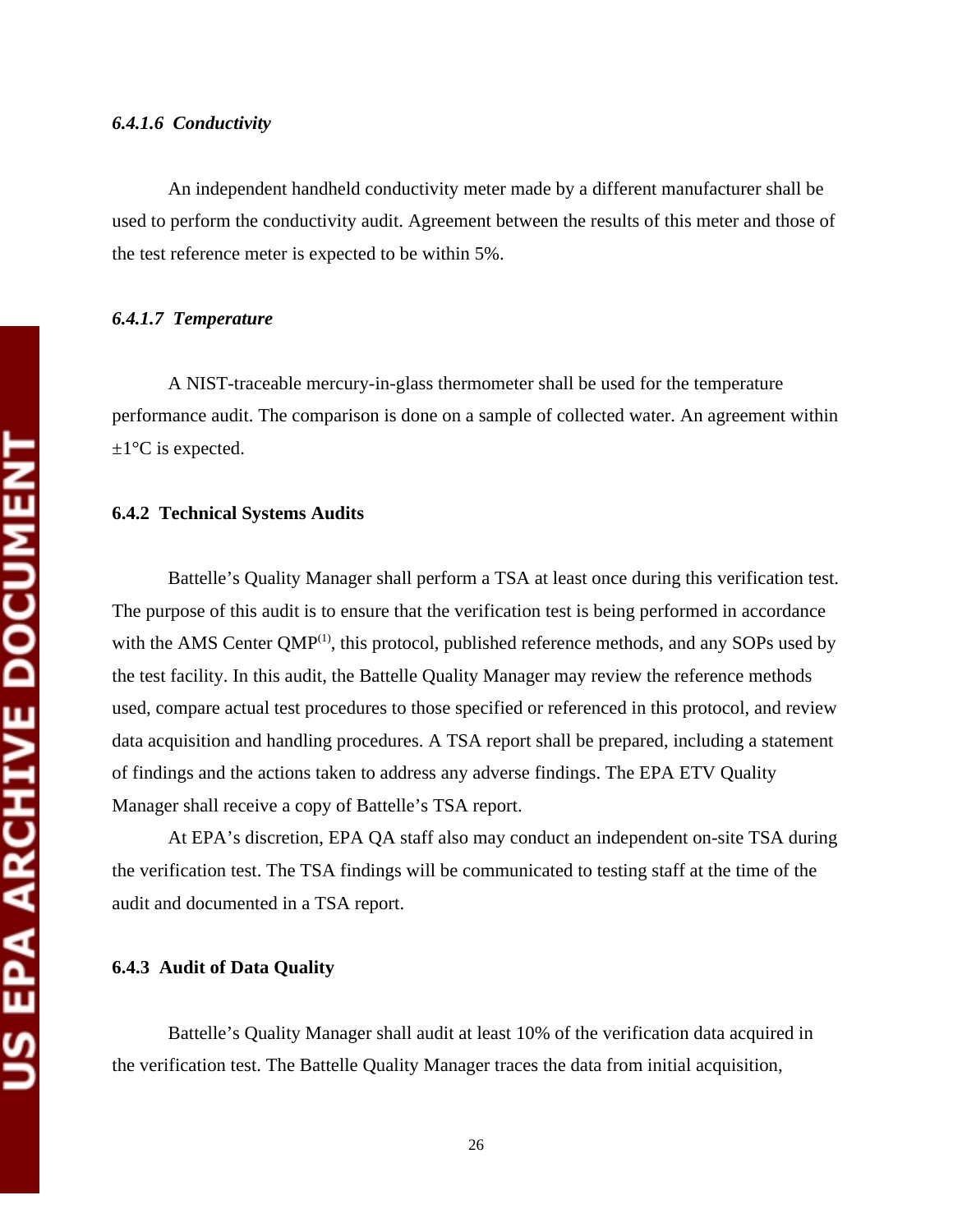An independent handheld conductivity meter made by a different manufacturer shall be used to perform the conductivity audit. Agreement between the results of this meter and those of the test reference meter is expected to be within 5%.

#### *6.4.1.7 Temperature*

A NIST-traceable mercury-in-glass thermometer shall be used for the temperature performance audit. The comparison is done on a sample of collected water. An agreement within  $\pm 1$ <sup>o</sup>C is expected.

#### **6.4.2 Technical Systems Audits**

Battelle's Quality Manager shall perform a TSA at least once during this verification test. The purpose of this audit is to ensure that the verification test is being performed in accordance with the AMS Center  $OMP^{(1)}$ , this protocol, published reference methods, and any SOPs used by the test facility. In this audit, the Battelle Quality Manager may review the reference methods used, compare actual test procedures to those specified or referenced in this protocol, and review data acquisition and handling procedures. A TSA report shall be prepared, including a statement of findings and the actions taken to address any adverse findings. The EPA ETV Quality Manager shall receive a copy of Battelle's TSA report.

At EPA's discretion, EPA QA staff also may conduct an independent on-site TSA during the verification test. The TSA findings will be communicated to testing staff at the time of the audit and documented in a TSA report.

#### **6.4.3 Audit of Data Quality**

Battelle's Quality Manager shall audit at least 10% of the verification data acquired in the verification test. The Battelle Quality Manager traces the data from initial acquisition,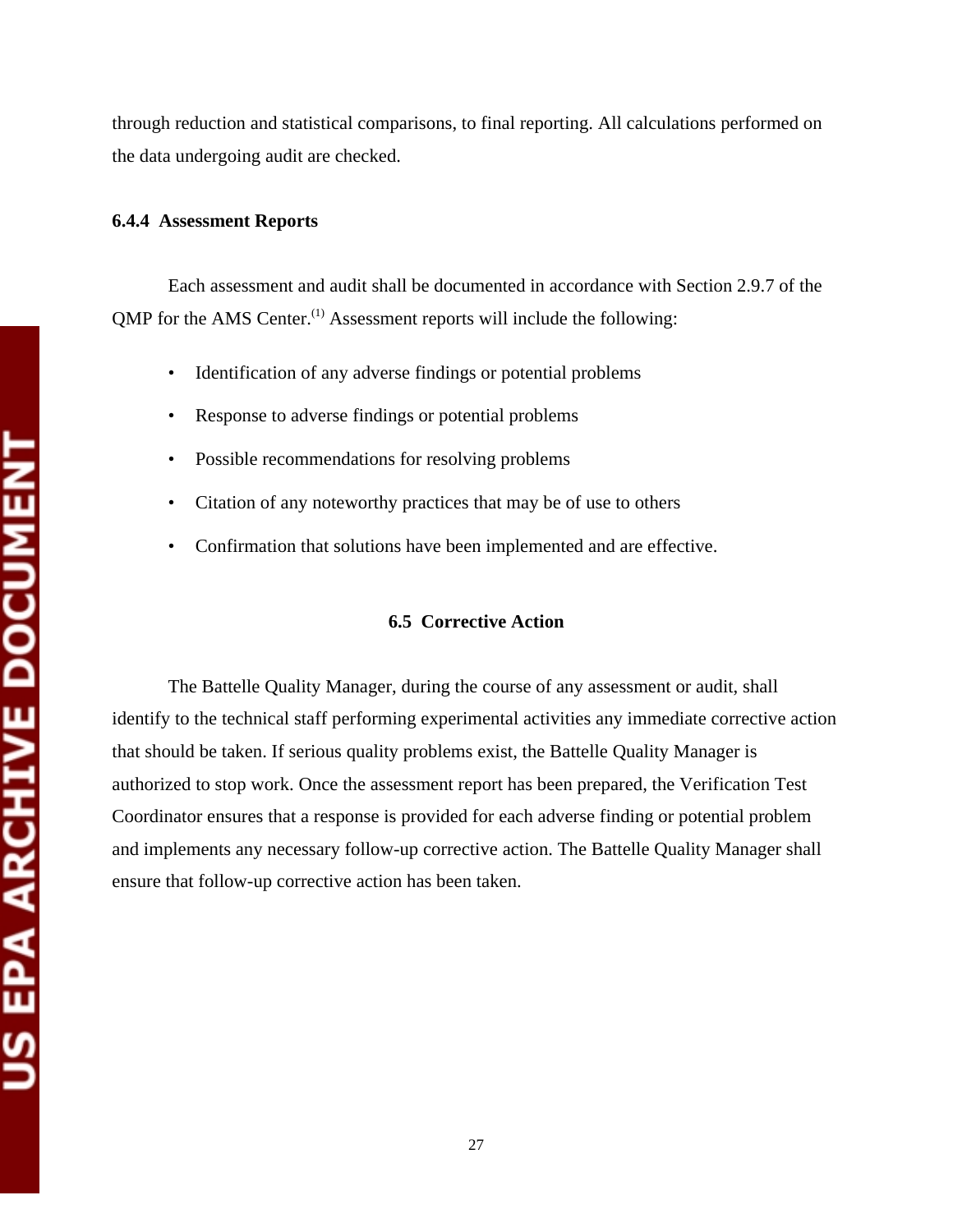through reduction and statistical comparisons, to final reporting. All calculations performed on the data undergoing audit are checked.

#### **6.4.4 Assessment Reports**

Each assessment and audit shall be documented in accordance with Section 2.9.7 of the  $QMP$  for the AMS Center.<sup>(1)</sup> Assessment reports will include the following:

- Identification of any adverse findings or potential problems
- Response to adverse findings or potential problems
- Possible recommendations for resolving problems
- Citation of any noteworthy practices that may be of use to others
- Confirmation that solutions have been implemented and are effective.

#### **6.5 Corrective Action**

The Battelle Quality Manager, during the course of any assessment or audit, shall identify to the technical staff performing experimental activities any immediate corrective action that should be taken. If serious quality problems exist, the Battelle Quality Manager is authorized to stop work. Once the assessment report has been prepared, the Verification Test Coordinator ensures that a response is provided for each adverse finding or potential problem and implements any necessary follow-up corrective action. The Battelle Quality Manager shall ensure that follow-up corrective action has been taken.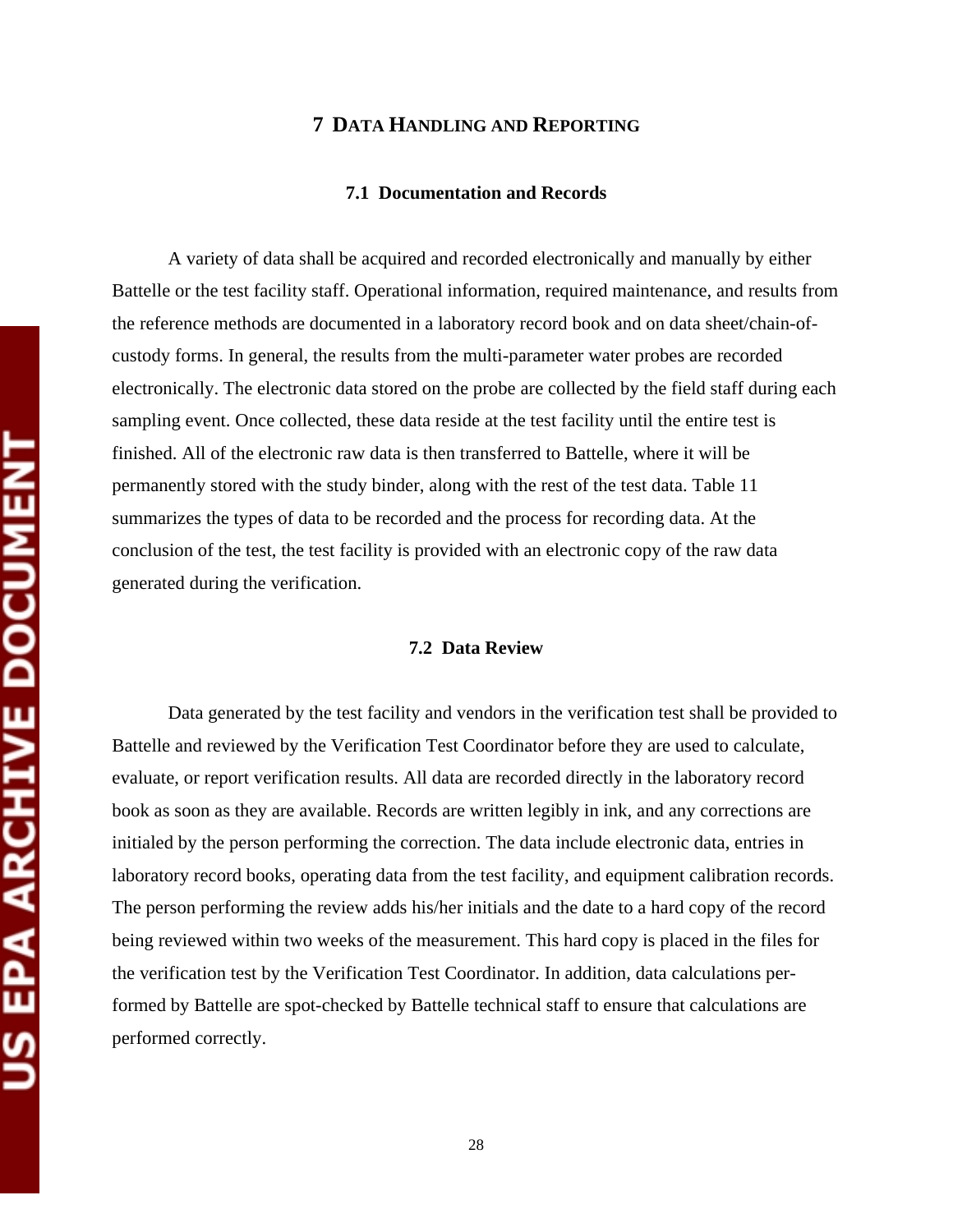#### **7 DATA HANDLING AND REPORTING**

#### **7.1 Documentation and Records**

A variety of data shall be acquired and recorded electronically and manually by either Battelle or the test facility staff. Operational information, required maintenance, and results from the reference methods are documented in a laboratory record book and on data sheet/chain-ofcustody forms. In general, the results from the multi-parameter water probes are recorded electronically. The electronic data stored on the probe are collected by the field staff during each sampling event. Once collected, these data reside at the test facility until the entire test is finished. All of the electronic raw data is then transferred to Battelle, where it will be permanently stored with the study binder, along with the rest of the test data. Table 11 summarizes the types of data to be recorded and the process for recording data. At the conclusion of the test, the test facility is provided with an electronic copy of the raw data generated during the verification.

#### **7.2 Data Review**

Data generated by the test facility and vendors in the verification test shall be provided to Battelle and reviewed by the Verification Test Coordinator before they are used to calculate, evaluate, or report verification results. All data are recorded directly in the laboratory record book as soon as they are available. Records are written legibly in ink, and any corrections are initialed by the person performing the correction. The data include electronic data, entries in laboratory record books, operating data from the test facility, and equipment calibration records. The person performing the review adds his/her initials and the date to a hard copy of the record being reviewed within two weeks of the measurement. This hard copy is placed in the files for the verification test by the Verification Test Coordinator. In addition, data calculations performed by Battelle are spot-checked by Battelle technical staff to ensure that calculations are performed correctly.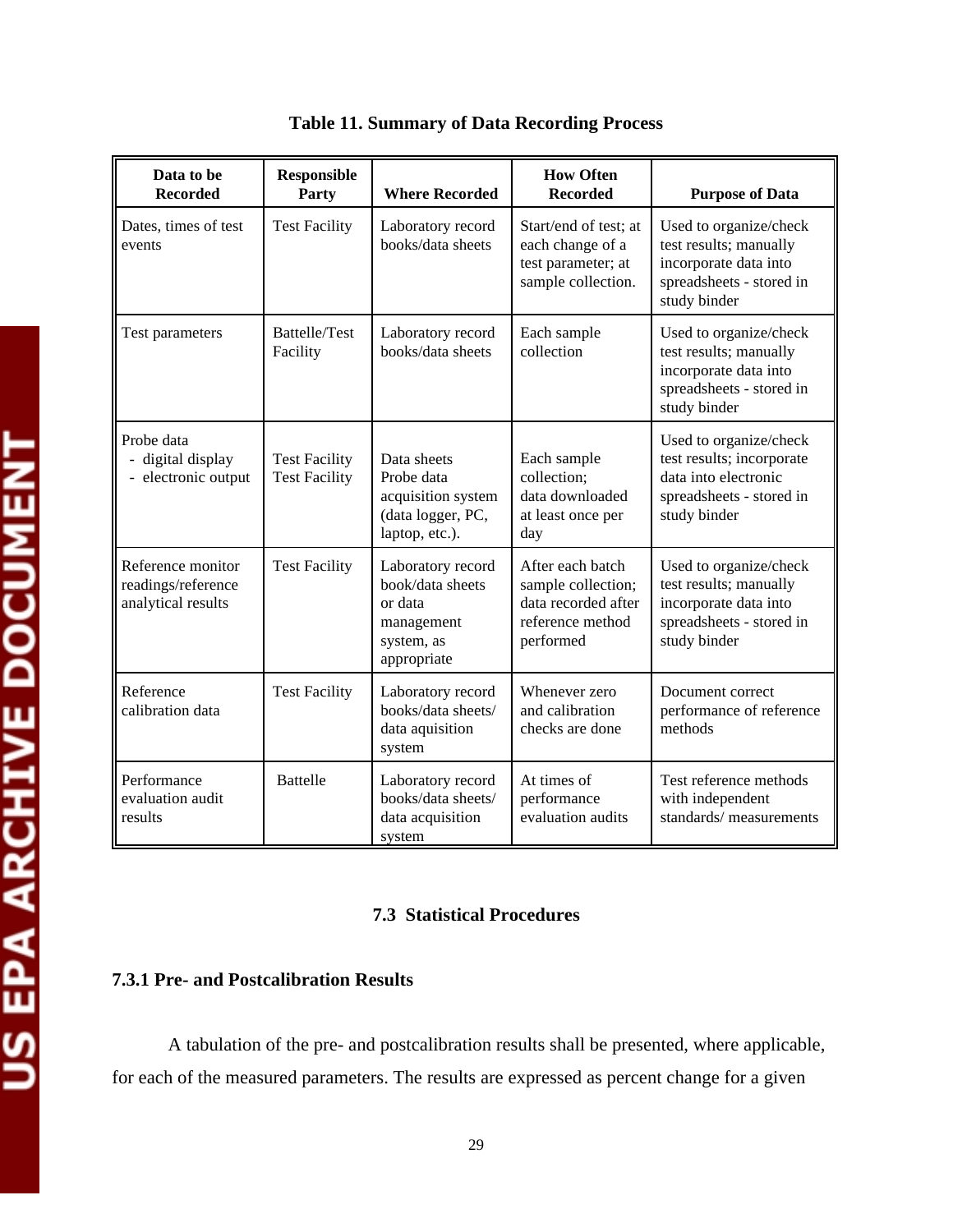| Data to be<br><b>Recorded</b>                                 | <b>Responsible</b><br>Party                  | <b>Where Recorded</b>                                                                       | <b>How Often</b><br><b>Recorded</b>                                                            | <b>Purpose of Data</b>                                                                                                  |
|---------------------------------------------------------------|----------------------------------------------|---------------------------------------------------------------------------------------------|------------------------------------------------------------------------------------------------|-------------------------------------------------------------------------------------------------------------------------|
| Dates, times of test<br>events                                | <b>Test Facility</b>                         | Laboratory record<br>books/data sheets                                                      | Start/end of test; at<br>each change of a<br>test parameter; at<br>sample collection.          | Used to organize/check<br>test results; manually<br>incorporate data into<br>spreadsheets - stored in<br>study binder   |
| Test parameters                                               | Battelle/Test<br>Facility                    | Laboratory record<br>books/data sheets                                                      | Each sample<br>collection                                                                      | Used to organize/check<br>test results; manually<br>incorporate data into<br>spreadsheets - stored in<br>study binder   |
| Probe data<br>- digital display<br>- electronic output        | <b>Test Facility</b><br><b>Test Facility</b> | Data sheets<br>Probe data<br>acquisition system<br>(data logger, PC,<br>laptop, etc.).      | Each sample<br>collection;<br>data downloaded<br>at least once per<br>day                      | Used to organize/check<br>test results; incorporate<br>data into electronic<br>spreadsheets - stored in<br>study binder |
| Reference monitor<br>readings/reference<br>analytical results | <b>Test Facility</b>                         | Laboratory record<br>book/data sheets<br>or data<br>management<br>system, as<br>appropriate | After each batch<br>sample collection;<br>data recorded after<br>reference method<br>performed | Used to organize/check<br>test results; manually<br>incorporate data into<br>spreadsheets - stored in<br>study binder   |
| Reference<br>calibration data                                 | <b>Test Facility</b>                         | Laboratory record<br>books/data sheets/<br>data aquisition<br>system                        | Whenever zero<br>and calibration<br>checks are done                                            | Document correct<br>performance of reference<br>methods                                                                 |
| Performance<br>evaluation audit<br>results                    | <b>Battelle</b>                              | Laboratory record<br>books/data sheets/<br>data acquisition<br>system                       | At times of<br>performance<br>evaluation audits                                                | Test reference methods<br>with independent<br>standards/measurements                                                    |

**Table 11. Summary of Data Recording Process** 

#### **7.3 Statistical Procedures**

#### **7.3.1 Pre- and Postcalibration Results**

A tabulation of the pre- and postcalibration results shall be presented, where applicable, for each of the measured parameters. The results are expressed as percent change for a given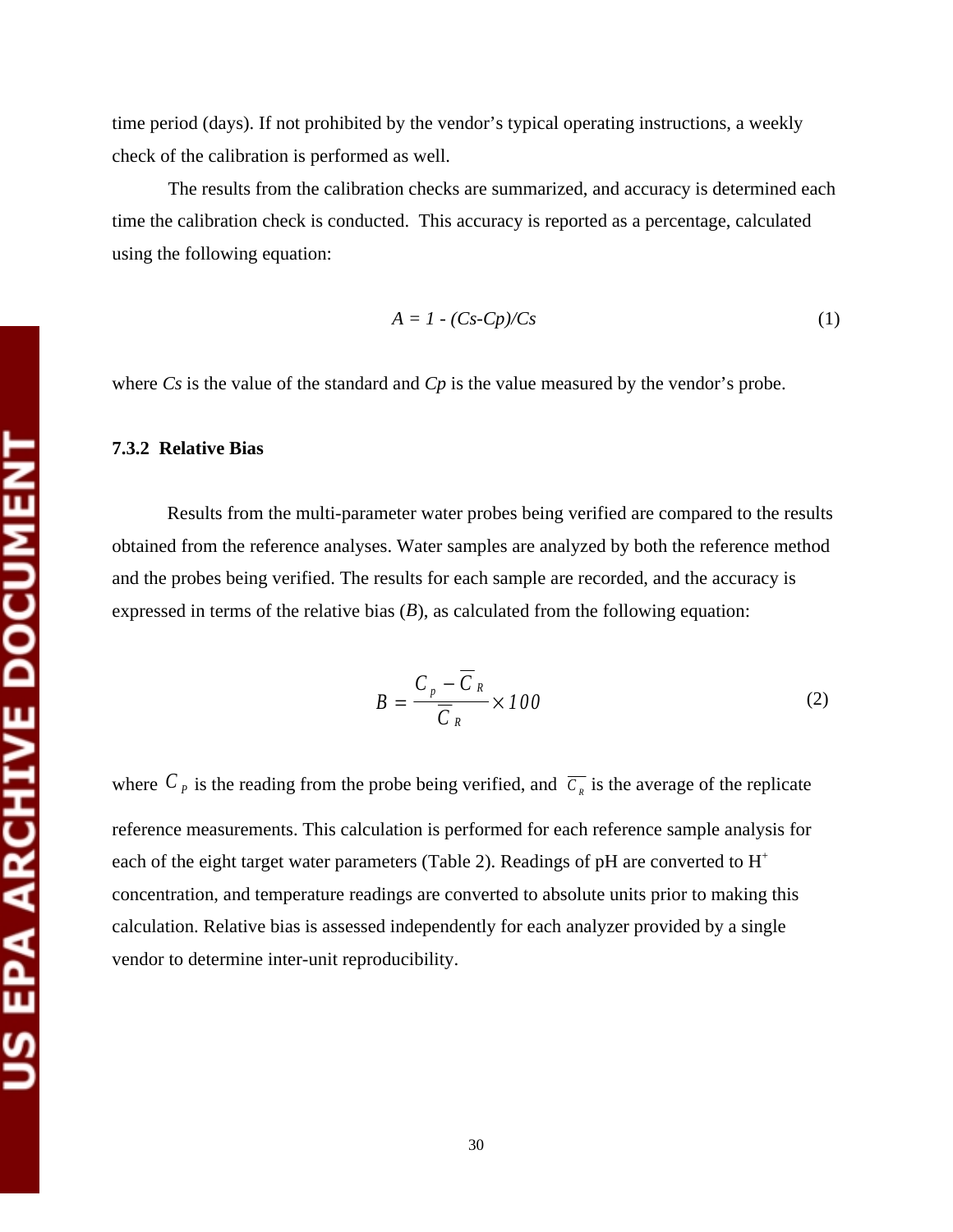time period (days). If not prohibited by the vendor's typical operating instructions, a weekly check of the calibration is performed as well.

The results from the calibration checks are summarized, and accuracy is determined each time the calibration check is conducted. This accuracy is reported as a percentage, calculated using the following equation:

$$
A = I - (Cs - Cp)/Cs \tag{1}
$$

where *Cs* is the value of the standard and *Cp* is the value measured by the vendor's probe.

#### **7.3.2 Relative Bias**

Results from the multi-parameter water probes being verified are compared to the results obtained from the reference analyses. Water samples are analyzed by both the reference method and the probes being verified. The results for each sample are recorded, and the accuracy is expressed in terms of the relative bias (*B*), as calculated from the following equation:

$$
B = \frac{C_p - \overline{C}_R}{\overline{C}_R} \times 100
$$
 (2)

where  $C_p$  is the reading from the probe being verified, and  $\overline{C_p}$  is the average of the replicate reference measurements. This calculation is performed for each reference sample analysis for each of the eight target water parameters (Table 2). Readings of pH are converted to  $H^+$ concentration, and temperature readings are converted to absolute units prior to making this calculation. Relative bias is assessed independently for each analyzer provided by a single vendor to determine inter-unit reproducibility.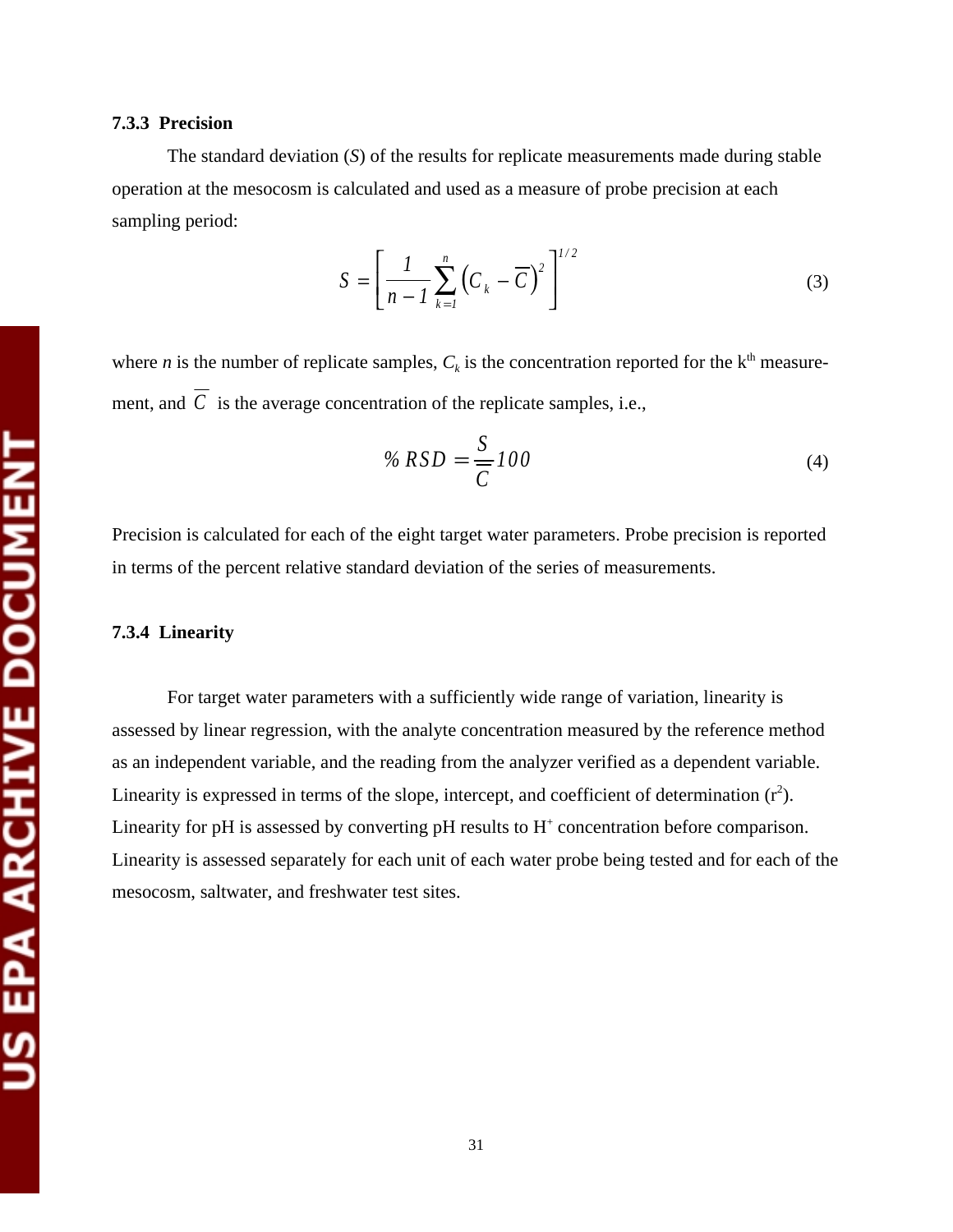#### **7.3.3 Precision**

The standard deviation (*S*) of the results for replicate measurements made during stable operation at the mesocosm is calculated and used as a measure of probe precision at each sampling period:

$$
S = \left[\frac{1}{n-1}\sum_{k=1}^{n} \left(C_k - \overline{C}\right)^2\right]^{1/2} \tag{3}
$$

where *n* is the number of replicate samples,  $C_k$  is the concentration reported for the  $k<sup>th</sup>$  measurement, and  $\overline{C}$  is the average concentration of the replicate samples, i.e.,

$$
\% RSD = \frac{S}{C}100\tag{4}
$$

Precision is calculated for each of the eight target water parameters. Probe precision is reported in terms of the percent relative standard deviation of the series of measurements.

#### **7.3.4 Linearity**

For target water parameters with a sufficiently wide range of variation, linearity is assessed by linear regression, with the analyte concentration measured by the reference method as an independent variable, and the reading from the analyzer verified as a dependent variable. Linearity is expressed in terms of the slope, intercept, and coefficient of determination  $(r^2)$ . Linearity for pH is assessed by converting pH results to  $H^+$  concentration before comparison. Linearity is assessed separately for each unit of each water probe being tested and for each of the mesocosm, saltwater, and freshwater test sites.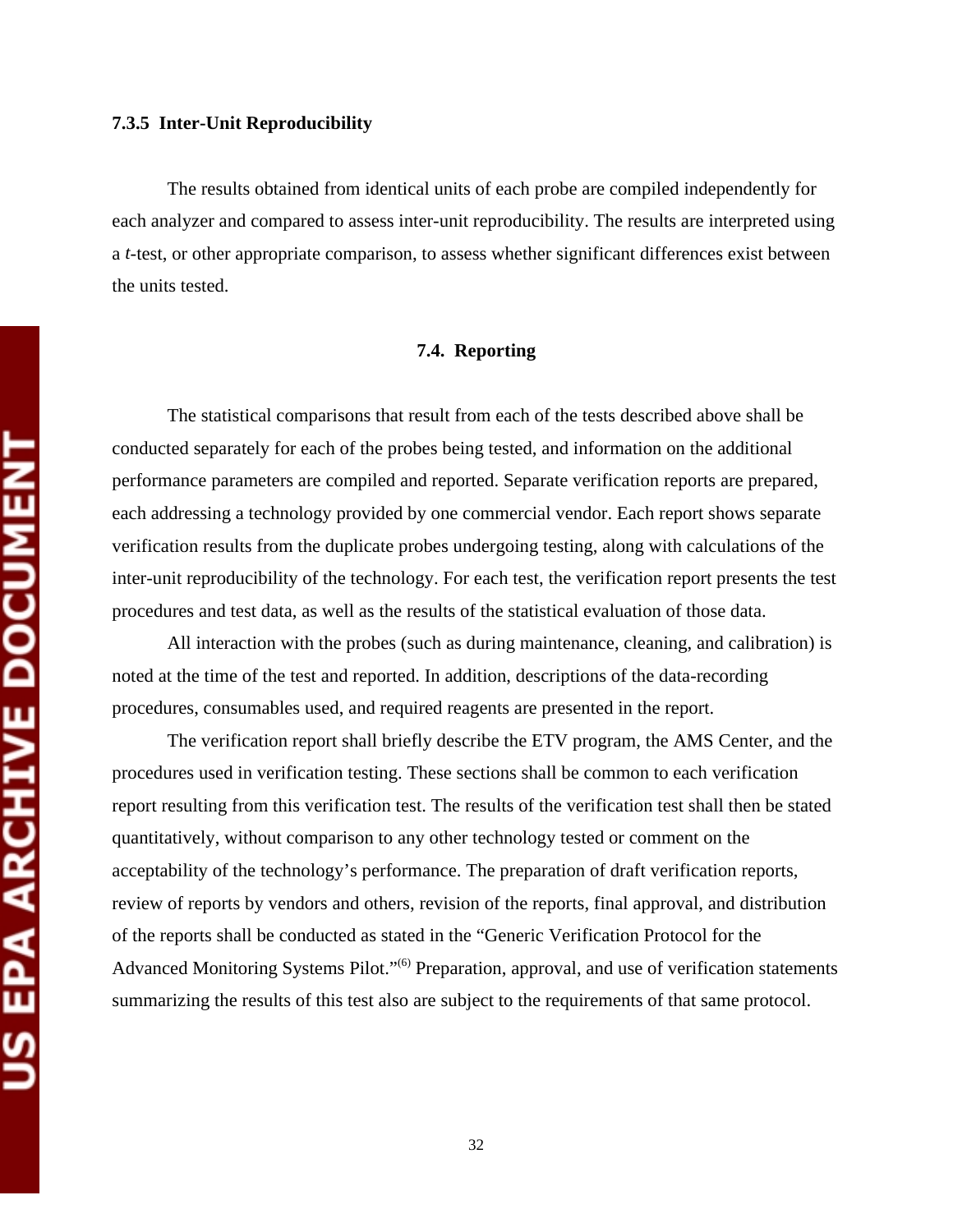The results obtained from identical units of each probe are compiled independently for each analyzer and compared to assess inter-unit reproducibility. The results are interpreted using a *t*-test, or other appropriate comparison, to assess whether significant differences exist between the units tested.

#### **7.4. Reporting**

The statistical comparisons that result from each of the tests described above shall be conducted separately for each of the probes being tested, and information on the additional performance parameters are compiled and reported. Separate verification reports are prepared, each addressing a technology provided by one commercial vendor. Each report shows separate verification results from the duplicate probes undergoing testing, along with calculations of the inter-unit reproducibility of the technology. For each test, the verification report presents the test procedures and test data, as well as the results of the statistical evaluation of those data.

All interaction with the probes (such as during maintenance, cleaning, and calibration) is noted at the time of the test and reported. In addition, descriptions of the data-recording procedures, consumables used, and required reagents are presented in the report.

The verification report shall briefly describe the ETV program, the AMS Center, and the procedures used in verification testing. These sections shall be common to each verification report resulting from this verification test. The results of the verification test shall then be stated quantitatively, without comparison to any other technology tested or comment on the acceptability of the technology's performance. The preparation of draft verification reports, review of reports by vendors and others, revision of the reports, final approval, and distribution of the reports shall be conducted as stated in the "Generic Verification Protocol for the Advanced Monitoring Systems Pilot."<sup>(6)</sup> Preparation, approval, and use of verification statements summarizing the results of this test also are subject to the requirements of that same protocol.